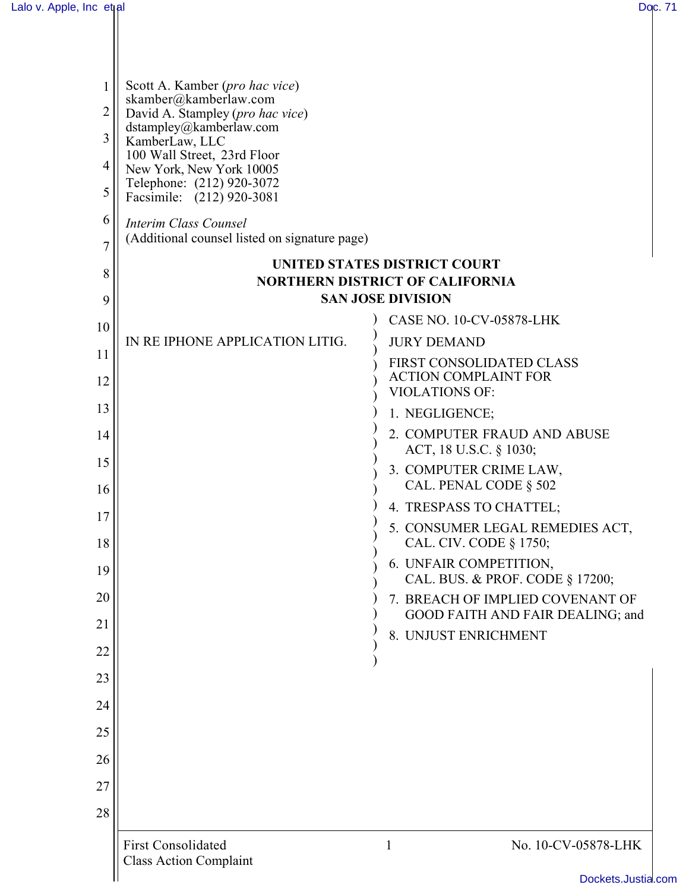| 1        | Scott A. Kamber (pro hac vice)<br>skamber@kamberlaw.com                |                                                                      |
|----------|------------------------------------------------------------------------|----------------------------------------------------------------------|
| 2        | David A. Stampley (pro hac vice)                                       |                                                                      |
| 3        | dstampley@kamberlaw.com<br>KamberLaw, LLC                              |                                                                      |
| 4        | 100 Wall Street, 23rd Floor<br>New York, New York 10005                |                                                                      |
| 5        | Telephone: (212) 920-3072<br>Facsimile: (212) 920-3081                 |                                                                      |
| 6<br>7   | Interim Class Counsel<br>(Additional counsel listed on signature page) |                                                                      |
| 8        |                                                                        | <b>UNITED STATES DISTRICT COURT</b>                                  |
|          |                                                                        | <b>NORTHERN DISTRICT OF CALIFORNIA</b>                               |
| 9        |                                                                        | <b>SAN JOSE DIVISION</b><br><b>CASE NO. 10-CV-05878-LHK</b>          |
| 10       | IN RE IPHONE APPLICATION LITIG.                                        | <b>JURY DEMAND</b>                                                   |
| 11       |                                                                        | FIRST CONSOLIDATED CLASS                                             |
| 12       |                                                                        | <b>ACTION COMPLAINT FOR</b><br><b>VIOLATIONS OF:</b>                 |
| 13       |                                                                        | 1. NEGLIGENCE;                                                       |
| 14       |                                                                        | 2. COMPUTER FRAUD AND ABUSE<br>ACT, 18 U.S.C. § 1030;                |
| 15<br>16 |                                                                        | 3. COMPUTER CRIME LAW,<br>CAL. PENAL CODE § 502                      |
| 17       |                                                                        | 4. TRESPASS TO CHATTEL;                                              |
| 18       |                                                                        | 5. CONSUMER LEGAL REMEDIES ACT,<br>CAL. CIV. CODE § 1750;            |
| 19       |                                                                        | 6. UNFAIR COMPETITION,<br>CAL. BUS. & PROF. CODE § 17200;            |
| 20       |                                                                        | 7. BREACH OF IMPLIED COVENANT OF<br>GOOD FAITH AND FAIR DEALING; and |
| 21       |                                                                        | 8. UNJUST ENRICHMENT                                                 |
| 22       |                                                                        |                                                                      |
| 23       |                                                                        |                                                                      |
| 24       |                                                                        |                                                                      |
| 25       |                                                                        |                                                                      |
| 26       |                                                                        |                                                                      |
| 27       |                                                                        |                                                                      |
| 28       |                                                                        |                                                                      |
|          | <b>First Consolidated</b>                                              | No. 10-CV-05878-LHK<br>1                                             |
|          | <b>Class Action Complaint</b>                                          |                                                                      |
|          |                                                                        | Dockets.Justia.co                                                    |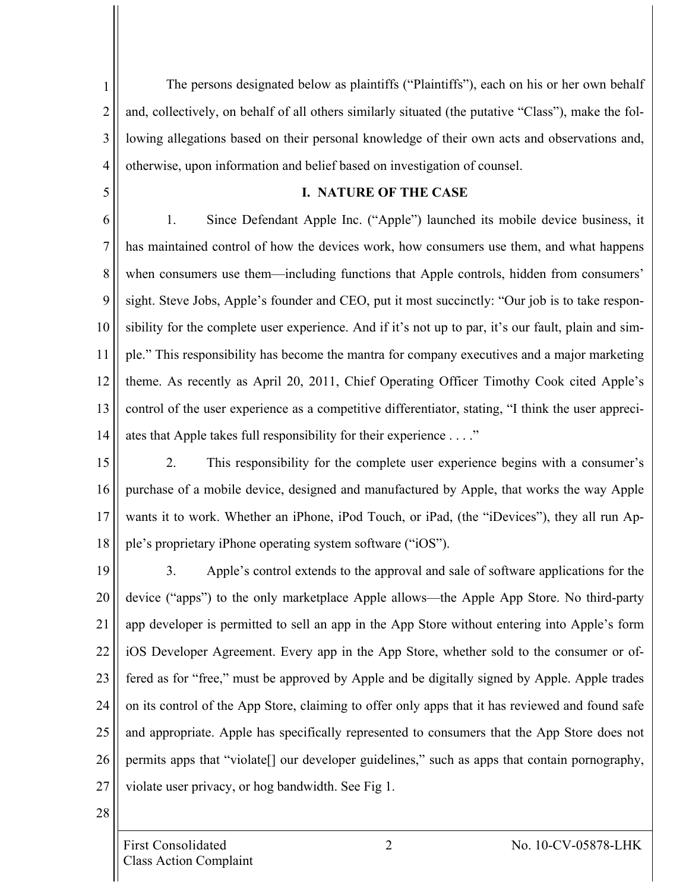1 2 3 4 The persons designated below as plaintiffs ("Plaintiffs"), each on his or her own behalf and, collectively, on behalf of all others similarly situated (the putative "Class"), make the following allegations based on their personal knowledge of their own acts and observations and, otherwise, upon information and belief based on investigation of counsel.

5

#### **I. NATURE OF THE CASE**

6 7 8 9 10 11 12 13 14 1. Since Defendant Apple Inc. ("Apple") launched its mobile device business, it has maintained control of how the devices work, how consumers use them, and what happens when consumers use them—including functions that Apple controls, hidden from consumers' sight. Steve Jobs, Apple's founder and CEO, put it most succinctly: "Our job is to take responsibility for the complete user experience. And if it's not up to par, it's our fault, plain and simple." This responsibility has become the mantra for company executives and a major marketing theme. As recently as April 20, 2011, Chief Operating Officer Timothy Cook cited Apple's control of the user experience as a competitive differentiator, stating, "I think the user appreciates that Apple takes full responsibility for their experience . . . ."

- 15 16 17 18 2. This responsibility for the complete user experience begins with a consumer's purchase of a mobile device, designed and manufactured by Apple, that works the way Apple wants it to work. Whether an iPhone, iPod Touch, or iPad, (the "iDevices"), they all run Apple's proprietary iPhone operating system software ("iOS").
- 19 20 21 22 23 24 25 26 27 3. Apple's control extends to the approval and sale of software applications for the device ("apps") to the only marketplace Apple allows—the Apple App Store. No third-party app developer is permitted to sell an app in the App Store without entering into Apple's form iOS Developer Agreement. Every app in the App Store, whether sold to the consumer or offered as for "free," must be approved by Apple and be digitally signed by Apple. Apple trades on its control of the App Store, claiming to offer only apps that it has reviewed and found safe and appropriate. Apple has specifically represented to consumers that the App Store does not permits apps that "violate[] our developer guidelines," such as apps that contain pornography, violate user privacy, or hog bandwidth. See Fig 1.

28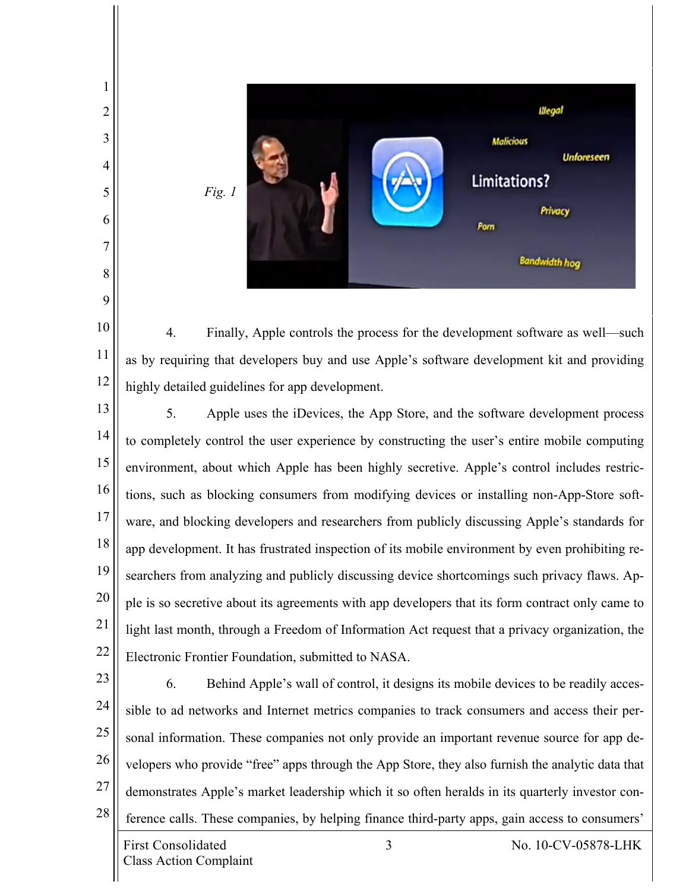

10 11 12 4. Finally, Apple controls the process for the development software as well—such as by requiring that developers buy and use Apple's software development kit and providing highly detailed guidelines for app development.

13 14 15 16 17 18 19 20 21 22 5. Apple uses the iDevices, the App Store, and the software development process to completely control the user experience by constructing the user's entire mobile computing environment, about which Apple has been highly secretive. Apple's control includes restrictions, such as blocking consumers from modifying devices or installing non-App-Store software, and blocking developers and researchers from publicly discussing Apple's standards for app development. It has frustrated inspection of its mobile environment by even prohibiting researchers from analyzing and publicly discussing device shortcomings such privacy flaws. Apple is so secretive about its agreements with app developers that its form contract only came to light last month, through a Freedom of Information Act request that a privacy organization, the Electronic Frontier Foundation, submitted to NASA.

23

1

2

3

4

5

6

7

8

9

24 25 26 27 28 6. Behind Apple's wall of control, it designs its mobile devices to be readily accessible to ad networks and Internet metrics companies to track consumers and access their personal information. These companies not only provide an important revenue source for app developers who provide "free" apps through the App Store, they also furnish the analytic data that demonstrates Apple's market leadership which it so often heralds in its quarterly investor conference calls. These companies, by helping finance third-party apps, gain access to consumers'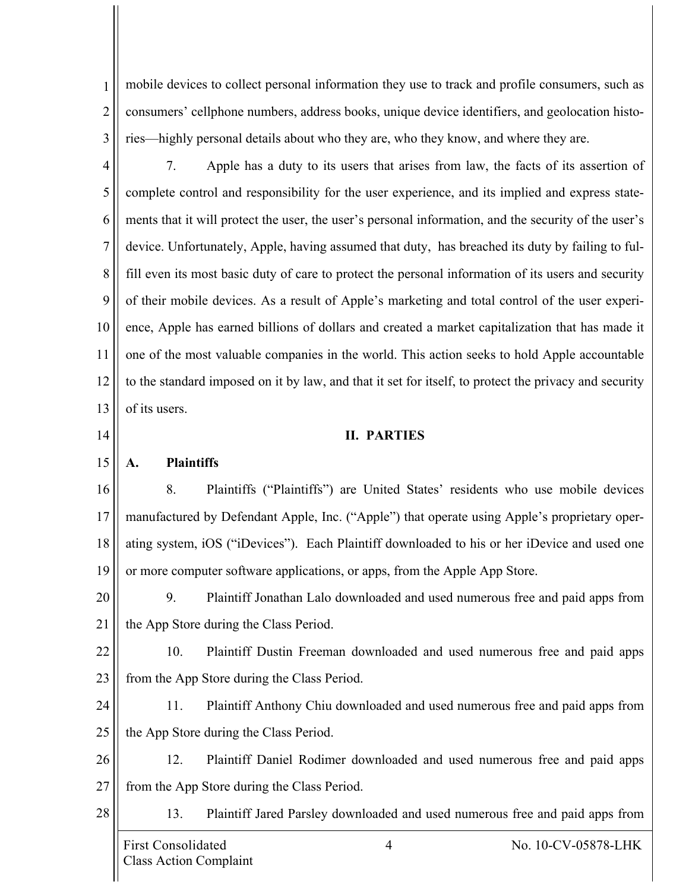1 2 3 mobile devices to collect personal information they use to track and profile consumers, such as consumers' cellphone numbers, address books, unique device identifiers, and geolocation histories—highly personal details about who they are, who they know, and where they are.

4 5 6 7 8 9 10 11 12 13 7. Apple has a duty to its users that arises from law, the facts of its assertion of complete control and responsibility for the user experience, and its implied and express statements that it will protect the user, the user's personal information, and the security of the user's device. Unfortunately, Apple, having assumed that duty, has breached its duty by failing to fulfill even its most basic duty of care to protect the personal information of its users and security of their mobile devices. As a result of Apple's marketing and total control of the user experience, Apple has earned billions of dollars and created a market capitalization that has made it one of the most valuable companies in the world. This action seeks to hold Apple accountable to the standard imposed on it by law, and that it set for itself, to protect the privacy and security of its users.

14

28

# **II. PARTIES**

15 **A. Plaintiffs**

16 17 18 19 8. Plaintiffs ("Plaintiffs") are United States' residents who use mobile devices manufactured by Defendant Apple, Inc. ("Apple") that operate using Apple's proprietary operating system, iOS ("iDevices"). Each Plaintiff downloaded to his or her iDevice and used one or more computer software applications, or apps, from the Apple App Store.

20 21 9. Plaintiff Jonathan Lalo downloaded and used numerous free and paid apps from the App Store during the Class Period.

22 23 10. Plaintiff Dustin Freeman downloaded and used numerous free and paid apps from the App Store during the Class Period.

24 25 11. Plaintiff Anthony Chiu downloaded and used numerous free and paid apps from the App Store during the Class Period.

26 27 12. Plaintiff Daniel Rodimer downloaded and used numerous free and paid apps from the App Store during the Class Period.

13. Plaintiff Jared Parsley downloaded and used numerous free and paid apps from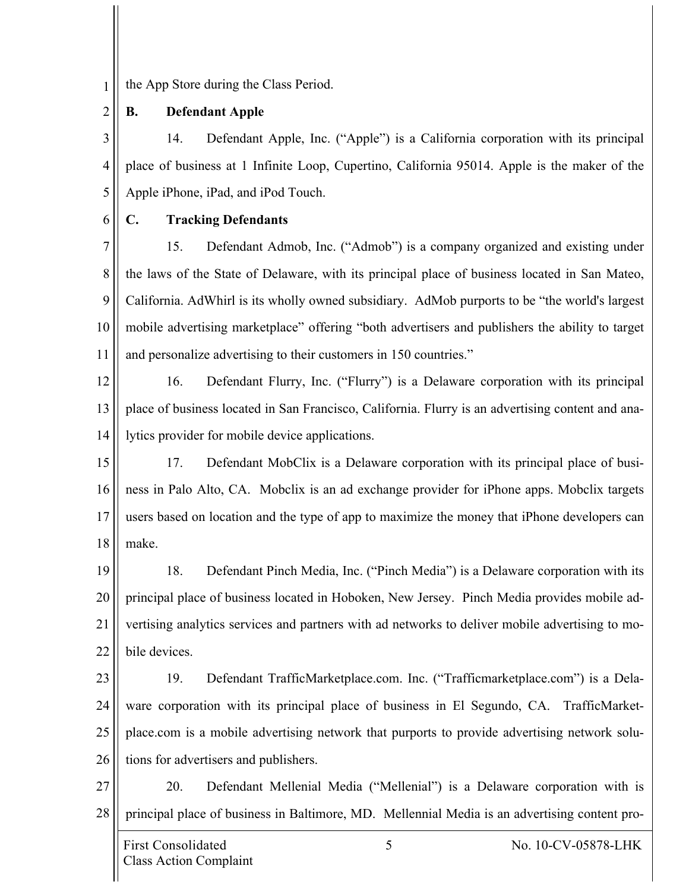the App Store during the Class Period.

2 **B. Defendant Apple**

3 4 5 14. Defendant Apple, Inc. ("Apple") is a California corporation with its principal place of business at 1 Infinite Loop, Cupertino, California 95014. Apple is the maker of the Apple iPhone, iPad, and iPod Touch.

6

1

## **C. Tracking Defendants**

7 8 9 10 11 15. Defendant Admob, Inc. ("Admob") is a company organized and existing under the laws of the State of Delaware, with its principal place of business located in San Mateo, California. AdWhirl is its wholly owned subsidiary. AdMob purports to be "the world's largest mobile advertising marketplace" offering "both advertisers and publishers the ability to target and personalize advertising to their customers in 150 countries."

12

13 14 16. Defendant Flurry, Inc. ("Flurry") is a Delaware corporation with its principal place of business located in San Francisco, California. Flurry is an advertising content and analytics provider for mobile device applications.

15 16 17 18 17. Defendant MobClix is a Delaware corporation with its principal place of business in Palo Alto, CA. Mobclix is an ad exchange provider for iPhone apps. Mobclix targets users based on location and the type of app to maximize the money that iPhone developers can make.

19 20 21 22 18. Defendant Pinch Media, Inc. ("Pinch Media") is a Delaware corporation with its principal place of business located in Hoboken, New Jersey. Pinch Media provides mobile advertising analytics services and partners with ad networks to deliver mobile advertising to mobile devices.

23

24 25 26 19. Defendant TrafficMarketplace.com. Inc. ("Trafficmarketplace.com") is a Delaware corporation with its principal place of business in El Segundo, CA. TrafficMarketplace.com is a mobile advertising network that purports to provide advertising network solutions for advertisers and publishers.

27 28 20. Defendant Mellenial Media ("Mellenial") is a Delaware corporation with is principal place of business in Baltimore, MD. Mellennial Media is an advertising content pro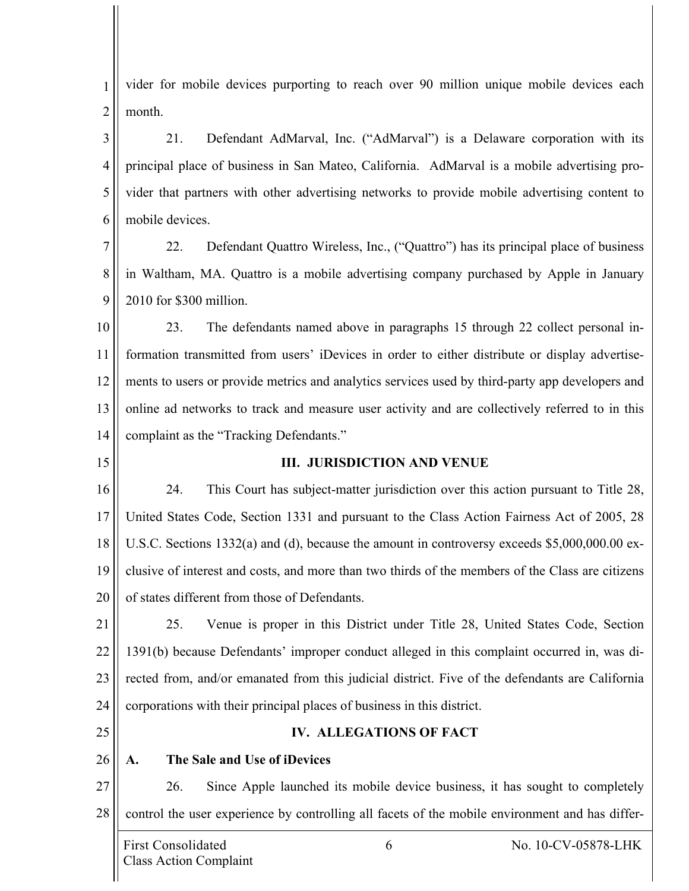1 2 vider for mobile devices purporting to reach over 90 million unique mobile devices each month.

3 4 5 6 21. Defendant AdMarval, Inc. ("AdMarval") is a Delaware corporation with its principal place of business in San Mateo, California. AdMarval is a mobile advertising provider that partners with other advertising networks to provide mobile advertising content to mobile devices.

7 8 9 22. Defendant Quattro Wireless, Inc., ("Quattro") has its principal place of business in Waltham, MA. Quattro is a mobile advertising company purchased by Apple in January 2010 for \$300 million.

10 11 12 13 14 23. The defendants named above in paragraphs 15 through 22 collect personal information transmitted from users' iDevices in order to either distribute or display advertisements to users or provide metrics and analytics services used by third-party app developers and online ad networks to track and measure user activity and are collectively referred to in this complaint as the "Tracking Defendants."

15

#### **III. JURISDICTION AND VENUE**

16 17 18 19 20 24. This Court has subject-matter jurisdiction over this action pursuant to Title 28, United States Code, Section 1331 and pursuant to the Class Action Fairness Act of 2005, 28 U.S.C. Sections 1332(a) and (d), because the amount in controversy exceeds \$5,000,000.00 exclusive of interest and costs, and more than two thirds of the members of the Class are citizens of states different from those of Defendants.

21 22 23 24 25. Venue is proper in this District under Title 28, United States Code, Section 1391(b) because Defendants' improper conduct alleged in this complaint occurred in, was directed from, and/or emanated from this judicial district. Five of the defendants are California corporations with their principal places of business in this district.

25

## **IV. ALLEGATIONS OF FACT**

26

# **A. The Sale and Use of iDevices**

27 28 26. Since Apple launched its mobile device business, it has sought to completely control the user experience by controlling all facets of the mobile environment and has differ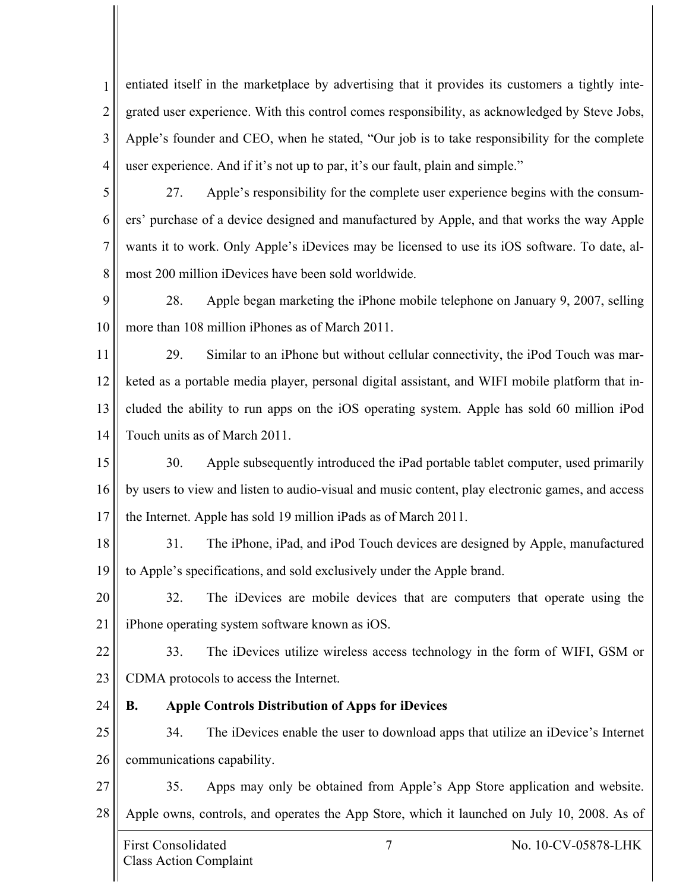1 2 3 4 entiated itself in the marketplace by advertising that it provides its customers a tightly integrated user experience. With this control comes responsibility, as acknowledged by Steve Jobs, Apple's founder and CEO, when he stated, "Our job is to take responsibility for the complete user experience. And if it's not up to par, it's our fault, plain and simple."

5 6 7 8 27. Apple's responsibility for the complete user experience begins with the consumers' purchase of a device designed and manufactured by Apple, and that works the way Apple wants it to work. Only Apple's iDevices may be licensed to use its iOS software. To date, almost 200 million iDevices have been sold worldwide.

9 10 28. Apple began marketing the iPhone mobile telephone on January 9, 2007, selling more than 108 million iPhones as of March 2011.

11 12 13 14 29. Similar to an iPhone but without cellular connectivity, the iPod Touch was marketed as a portable media player, personal digital assistant, and WIFI mobile platform that included the ability to run apps on the iOS operating system. Apple has sold 60 million iPod Touch units as of March 2011.

15 16 17 30. Apple subsequently introduced the iPad portable tablet computer, used primarily by users to view and listen to audio-visual and music content, play electronic games, and access the Internet. Apple has sold 19 million iPads as of March 2011.

18 19 31. The iPhone, iPad, and iPod Touch devices are designed by Apple, manufactured to Apple's specifications, and sold exclusively under the Apple brand.

20 21 32. The iDevices are mobile devices that are computers that operate using the iPhone operating system software known as iOS.

22 23 33. The iDevices utilize wireless access technology in the form of WIFI, GSM or CDMA protocols to access the Internet.

24

# **B. Apple Controls Distribution of Apps for iDevices**

25 26 34. The iDevices enable the user to download apps that utilize an iDevice's Internet communications capability.

27 28 35. Apps may only be obtained from Apple's App Store application and website. Apple owns, controls, and operates the App Store, which it launched on July 10, 2008. As of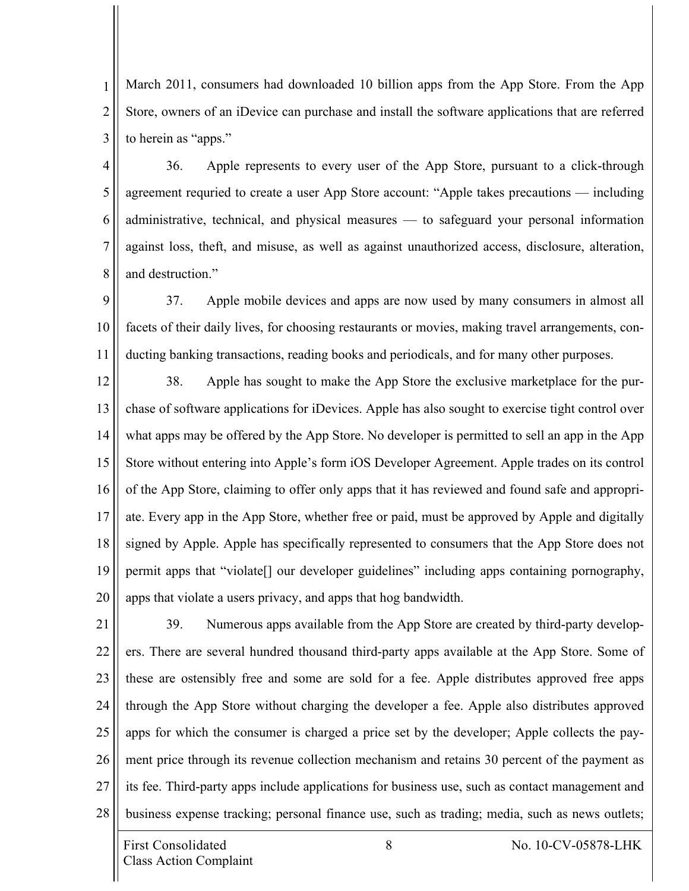1 2 3 March 2011, consumers had downloaded 10 billion apps from the App Store. From the App Store, owners of an iDevice can purchase and install the software applications that are referred to herein as "apps."

4 5 6 7 8 36. Apple represents to every user of the App Store, pursuant to a click-through agreement requried to create a user App Store account: "Apple takes precautions — including administrative, technical, and physical measures — to safeguard your personal information against loss, theft, and misuse, as well as against unauthorized access, disclosure, alteration, and destruction."

9 10 11 37. Apple mobile devices and apps are now used by many consumers in almost all facets of their daily lives, for choosing restaurants or movies, making travel arrangements, conducting banking transactions, reading books and periodicals, and for many other purposes.

12 13 14 15 16 17 18 19 20 38. Apple has sought to make the App Store the exclusive marketplace for the purchase of software applications for iDevices. Apple has also sought to exercise tight control over what apps may be offered by the App Store. No developer is permitted to sell an app in the App Store without entering into Apple's form iOS Developer Agreement. Apple trades on its control of the App Store, claiming to offer only apps that it has reviewed and found safe and appropriate. Every app in the App Store, whether free or paid, must be approved by Apple and digitally signed by Apple. Apple has specifically represented to consumers that the App Store does not permit apps that "violate[] our developer guidelines" including apps containing pornography, apps that violate a users privacy, and apps that hog bandwidth.

21 22 23 24 25 26 27 28 39. Numerous apps available from the App Store are created by third-party developers. There are several hundred thousand third-party apps available at the App Store. Some of these are ostensibly free and some are sold for a fee. Apple distributes approved free apps through the App Store without charging the developer a fee. Apple also distributes approved apps for which the consumer is charged a price set by the developer; Apple collects the payment price through its revenue collection mechanism and retains 30 percent of the payment as its fee. Third-party apps include applications for business use, such as contact management and business expense tracking; personal finance use, such as trading; media, such as news outlets;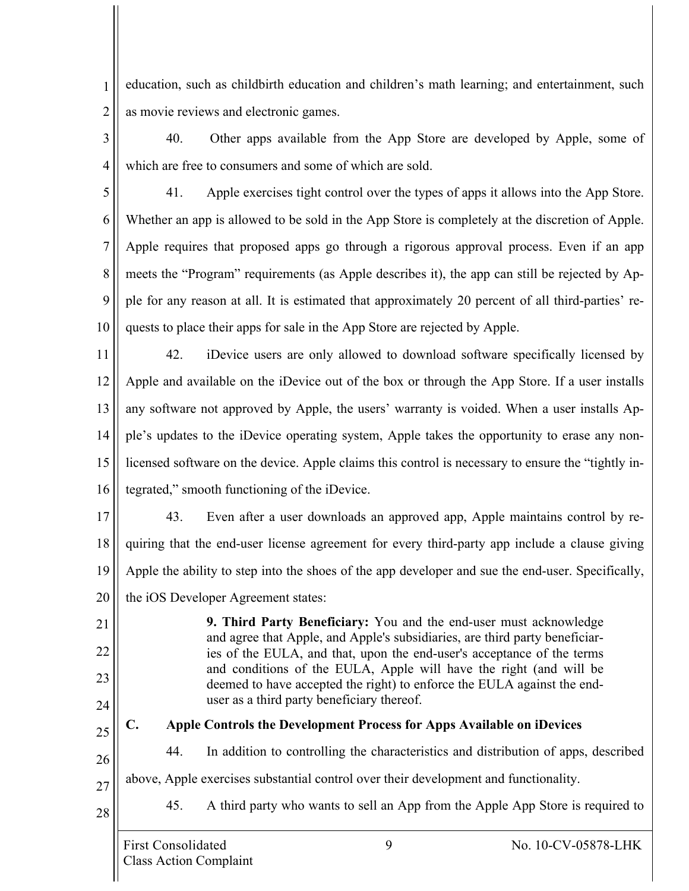1 2 education, such as childbirth education and children's math learning; and entertainment, such as movie reviews and electronic games.

- 3 4 40. Other apps available from the App Store are developed by Apple, some of which are free to consumers and some of which are sold.
- 

21

22

23

24

25

28

5 6 7 8 9 10 41. Apple exercises tight control over the types of apps it allows into the App Store. Whether an app is allowed to be sold in the App Store is completely at the discretion of Apple. Apple requires that proposed apps go through a rigorous approval process. Even if an app meets the "Program" requirements (as Apple describes it), the app can still be rejected by Apple for any reason at all. It is estimated that approximately 20 percent of all third-parties' requests to place their apps for sale in the App Store are rejected by Apple.

11 12 13 14 15 16 42. iDevice users are only allowed to download software specifically licensed by Apple and available on the iDevice out of the box or through the App Store. If a user installs any software not approved by Apple, the users' warranty is voided. When a user installs Apple's updates to the iDevice operating system, Apple takes the opportunity to erase any nonlicensed software on the device. Apple claims this control is necessary to ensure the "tightly integrated," smooth functioning of the iDevice.

17 18 19 43. Even after a user downloads an approved app, Apple maintains control by requiring that the end-user license agreement for every third-party app include a clause giving Apple the ability to step into the shoes of the app developer and sue the end-user. Specifically,

20 the iOS Developer Agreement states:

**9. Third Party Beneficiary:** You and the end-user must acknowledge and agree that Apple, and Apple's subsidiaries, are third party beneficiaries of the EULA, and that, upon the end-user's acceptance of the terms and conditions of the EULA, Apple will have the right (and will be deemed to have accepted the right) to enforce the EULA against the enduser as a third party beneficiary thereof.

**C. Apple Controls the Development Process for Apps Available on iDevices**

26 44. In addition to controlling the characteristics and distribution of apps, described

27 above, Apple exercises substantial control over their development and functionality.

45. A third party who wants to sell an App from the Apple App Store is required to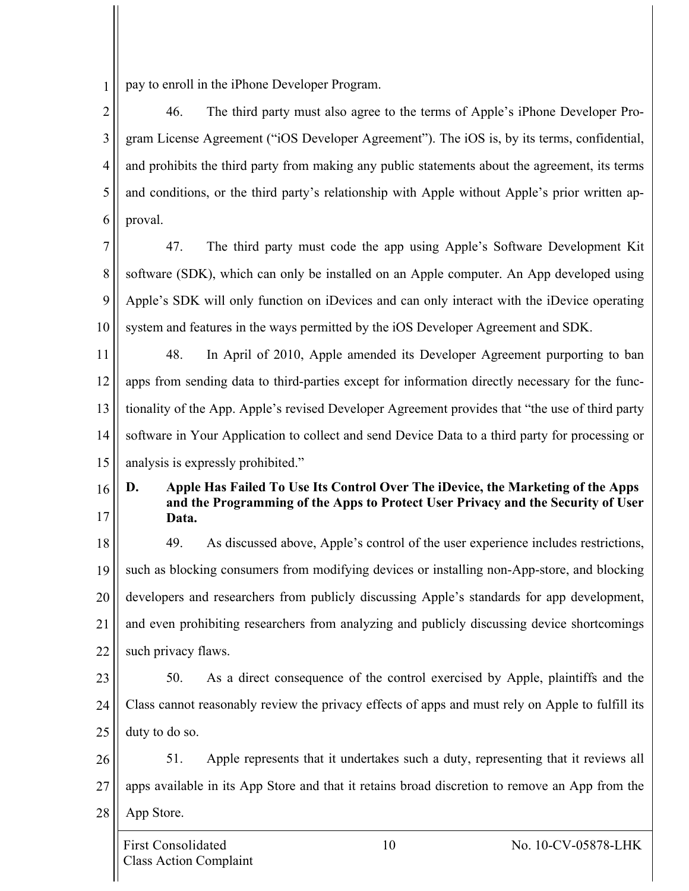1 pay to enroll in the iPhone Developer Program.

2 3 4 5 6 46. The third party must also agree to the terms of Apple's iPhone Developer Program License Agreement ("iOS Developer Agreement"). The iOS is, by its terms, confidential, and prohibits the third party from making any public statements about the agreement, its terms and conditions, or the third party's relationship with Apple without Apple's prior written approval.

7 8 9 10 47. The third party must code the app using Apple's Software Development Kit software (SDK), which can only be installed on an Apple computer. An App developed using Apple's SDK will only function on iDevices and can only interact with the iDevice operating system and features in the ways permitted by the iOS Developer Agreement and SDK.

11 12 13 14 15 48. In April of 2010, Apple amended its Developer Agreement purporting to ban apps from sending data to third-parties except for information directly necessary for the functionality of the App. Apple's revised Developer Agreement provides that "the use of third party software in Your Application to collect and send Device Data to a third party for processing or analysis is expressly prohibited."

16 17 **D. Apple Has Failed To Use Its Control Over The iDevice, the Marketing of the Apps and the Programming of the Apps to Protect User Privacy and the Security of User Data.**

18 19 20 21 22 49. As discussed above, Apple's control of the user experience includes restrictions, such as blocking consumers from modifying devices or installing non-App-store, and blocking developers and researchers from publicly discussing Apple's standards for app development, and even prohibiting researchers from analyzing and publicly discussing device shortcomings such privacy flaws.

23

24

25

50. As a direct consequence of the control exercised by Apple, plaintiffs and the Class cannot reasonably review the privacy effects of apps and must rely on Apple to fulfill its duty to do so.

26 27 28 51. Apple represents that it undertakes such a duty, representing that it reviews all apps available in its App Store and that it retains broad discretion to remove an App from the App Store.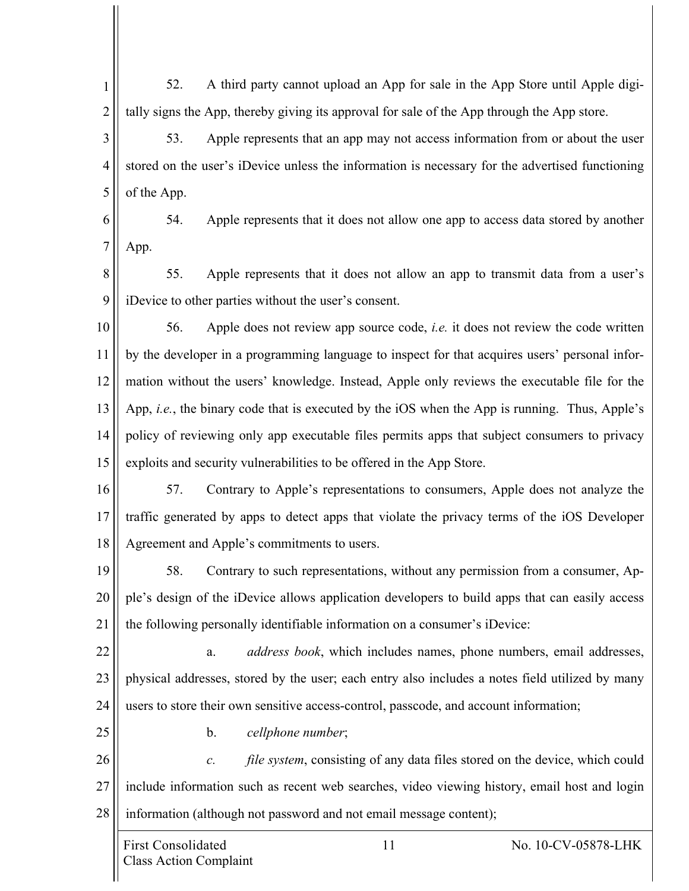1 2 52. A third party cannot upload an App for sale in the App Store until Apple digitally signs the App, thereby giving its approval for sale of the App through the App store.

3 4 5 53. Apple represents that an app may not access information from or about the user stored on the user's iDevice unless the information is necessary for the advertised functioning of the App.

6 7 54. Apple represents that it does not allow one app to access data stored by another App.

8 9 55. Apple represents that it does not allow an app to transmit data from a user's iDevice to other parties without the user's consent.

10 11 12 13 14 15 56. Apple does not review app source code, *i.e.* it does not review the code written by the developer in a programming language to inspect for that acquires users' personal information without the users' knowledge. Instead, Apple only reviews the executable file for the App, *i.e.*, the binary code that is executed by the iOS when the App is running. Thus, Apple's policy of reviewing only app executable files permits apps that subject consumers to privacy exploits and security vulnerabilities to be offered in the App Store.

16 17 18 57. Contrary to Apple's representations to consumers, Apple does not analyze the traffic generated by apps to detect apps that violate the privacy terms of the iOS Developer Agreement and Apple's commitments to users.

19 20 21 58. Contrary to such representations, without any permission from a consumer, Apple's design of the iDevice allows application developers to build apps that can easily access the following personally identifiable information on a consumer's iDevice:

22 23 24 a. *address book*, which includes names, phone numbers, email addresses, physical addresses, stored by the user; each entry also includes a notes field utilized by many users to store their own sensitive access-control, passcode, and account information;

25

b. *cellphone number*;

26 27 28 *c. file system*, consisting of any data files stored on the device, which could include information such as recent web searches, video viewing history, email host and login information (although not password and not email message content);

First Consolidated 11 No. 10-CV-05878-LHK Class Action Complaint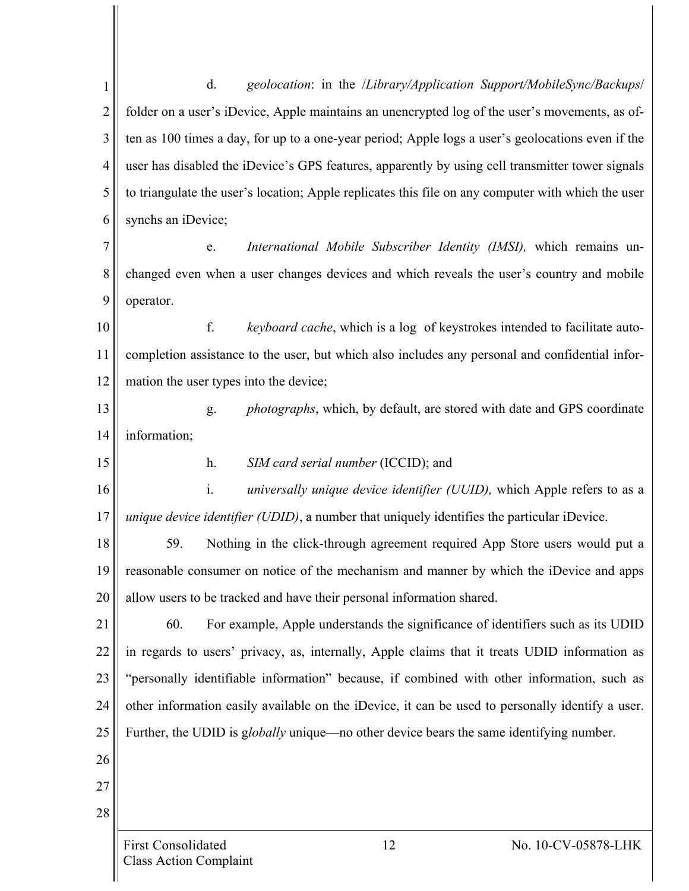First Consolidated 12 No. 10-CV-05878-LHK 1 2 3 4 5 6 7 8 9 10 11 12 13 14 15 16 17 18 19 20 21 22 23 24 25 26 27 28 d. *geolocation*: in the /*Library/Application Support/MobileSync/Backups*/ folder on a user's iDevice, Apple maintains an unencrypted log of the user's movements, as often as 100 times a day, for up to a one-year period; Apple logs a user's geolocations even if the user has disabled the iDevice's GPS features, apparently by using cell transmitter tower signals to triangulate the user's location; Apple replicates this file on any computer with which the user synchs an iDevice; e. *International Mobile Subscriber Identity (IMSI),* which remains unchanged even when a user changes devices and which reveals the user's country and mobile operator. f. *keyboard cache*, which is a log of keystrokes intended to facilitate autocompletion assistance to the user, but which also includes any personal and confidential information the user types into the device; g. *photographs*, which, by default, are stored with date and GPS coordinate information; h. *SIM card serial number* (ICCID); and i. *universally unique device identifier (UUID),* which Apple refers to as a *unique device identifier (UDID)*, a number that uniquely identifies the particular iDevice. 59. Nothing in the click-through agreement required App Store users would put a reasonable consumer on notice of the mechanism and manner by which the iDevice and apps allow users to be tracked and have their personal information shared. 60. For example, Apple understands the significance of identifiers such as its UDID in regards to users' privacy, as, internally, Apple claims that it treats UDID information as "personally identifiable information" because, if combined with other information, such as other information easily available on the iDevice, it can be used to personally identify a user. Further, the UDID is g*lobally* unique—no other device bears the same identifying number.

Class Action Complaint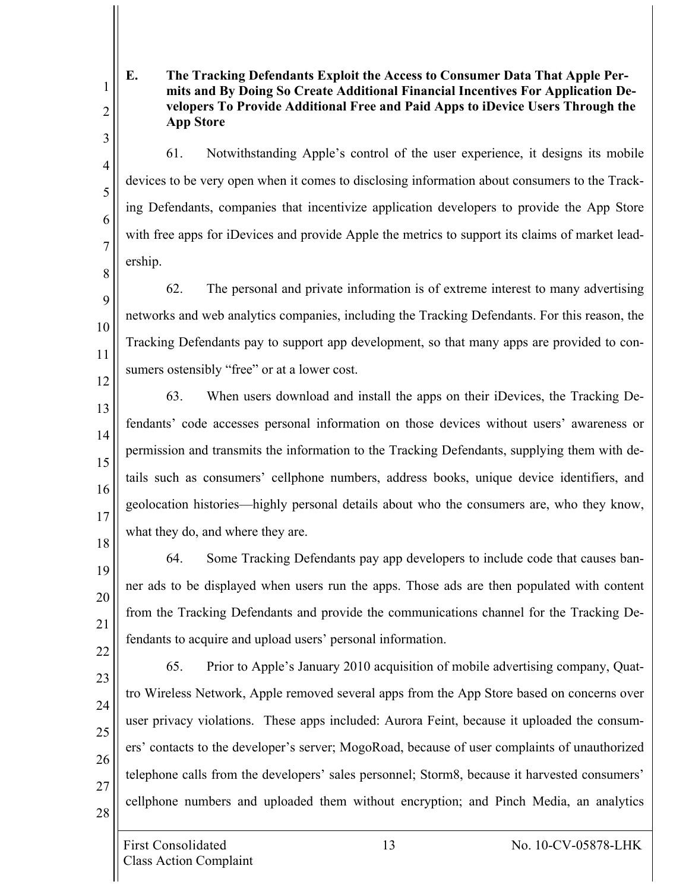**E. The Tracking Defendants Exploit the Access to Consumer Data That Apple Permits and By Doing So Create Additional Financial Incentives For Application Developers To Provide Additional Free and Paid Apps to iDevice Users Through the App Store**

61. Notwithstanding Apple's control of the user experience, it designs its mobile devices to be very open when it comes to disclosing information about consumers to the Tracking Defendants, companies that incentivize application developers to provide the App Store with free apps for iDevices and provide Apple the metrics to support its claims of market leadership.

8 9 10 11 12 62. The personal and private information is of extreme interest to many advertising networks and web analytics companies, including the Tracking Defendants. For this reason, the Tracking Defendants pay to support app development, so that many apps are provided to consumers ostensibly "free" or at a lower cost.

13 14 15 16 17 63. When users download and install the apps on their iDevices, the Tracking Defendants' code accesses personal information on those devices without users' awareness or permission and transmits the information to the Tracking Defendants, supplying them with details such as consumers' cellphone numbers, address books, unique device identifiers, and geolocation histories—highly personal details about who the consumers are, who they know, what they do, and where they are.

18 19

20

21

1

2

3

4

5

6

7

64. Some Tracking Defendants pay app developers to include code that causes banner ads to be displayed when users run the apps. Those ads are then populated with content from the Tracking Defendants and provide the communications channel for the Tracking Defendants to acquire and upload users' personal information.

65. Prior to Apple's January 2010 acquisition of mobile advertising company, Quat-

tro Wireless Network, Apple removed several apps from the App Store based on concerns over

user privacy violations. These apps included: Aurora Feint, because it uploaded the consum-

ers' contacts to the developer's server; MogoRoad, because of user complaints of unauthorized

telephone calls from the developers' sales personnel; Storm8, because it harvested consumers'

cellphone numbers and uploaded them without encryption; and Pinch Media, an analytics

22

23

24

25

26

27 28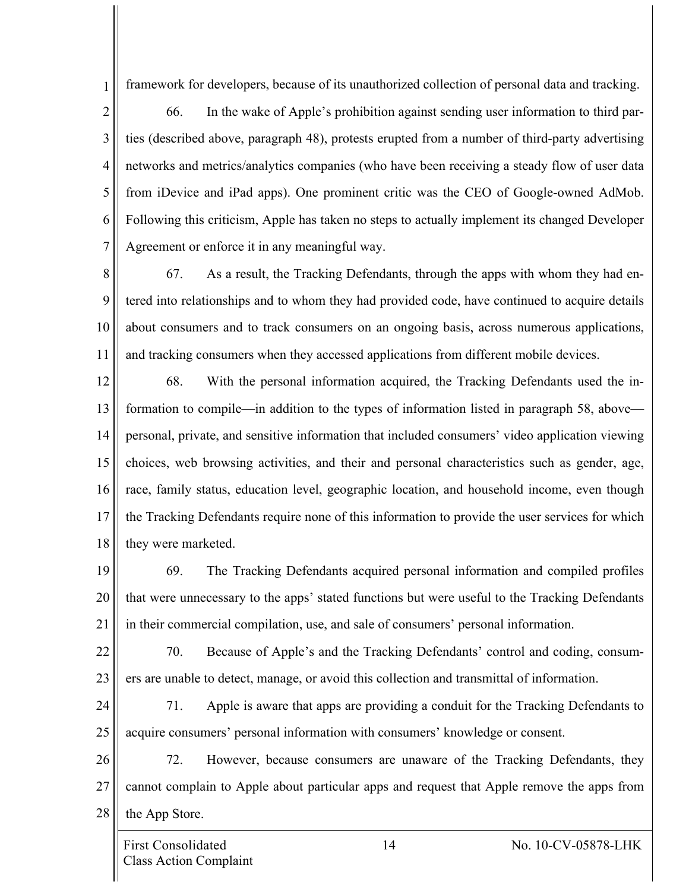framework for developers, because of its unauthorized collection of personal data and tracking.

2 3 4 5 6 7 66. In the wake of Apple's prohibition against sending user information to third parties (described above, paragraph 48), protests erupted from a number of third-party advertising networks and metrics/analytics companies (who have been receiving a steady flow of user data from iDevice and iPad apps). One prominent critic was the CEO of Google-owned AdMob. Following this criticism, Apple has taken no steps to actually implement its changed Developer Agreement or enforce it in any meaningful way.

8 9 10 11 67. As a result, the Tracking Defendants, through the apps with whom they had entered into relationships and to whom they had provided code, have continued to acquire details about consumers and to track consumers on an ongoing basis, across numerous applications, and tracking consumers when they accessed applications from different mobile devices.

12 13 14 15 16 17 18 68. With the personal information acquired, the Tracking Defendants used the information to compile—in addition to the types of information listed in paragraph 58, above personal, private, and sensitive information that included consumers' video application viewing choices, web browsing activities, and their and personal characteristics such as gender, age, race, family status, education level, geographic location, and household income, even though the Tracking Defendants require none of this information to provide the user services for which they were marketed.

19 20 21 69. The Tracking Defendants acquired personal information and compiled profiles that were unnecessary to the apps' stated functions but were useful to the Tracking Defendants in their commercial compilation, use, and sale of consumers' personal information.

22 23 70. Because of Apple's and the Tracking Defendants' control and coding, consumers are unable to detect, manage, or avoid this collection and transmittal of information.

24 25 71. Apple is aware that apps are providing a conduit for the Tracking Defendants to acquire consumers' personal information with consumers' knowledge or consent.

26 27 28 72. However, because consumers are unaware of the Tracking Defendants, they cannot complain to Apple about particular apps and request that Apple remove the apps from the App Store.

1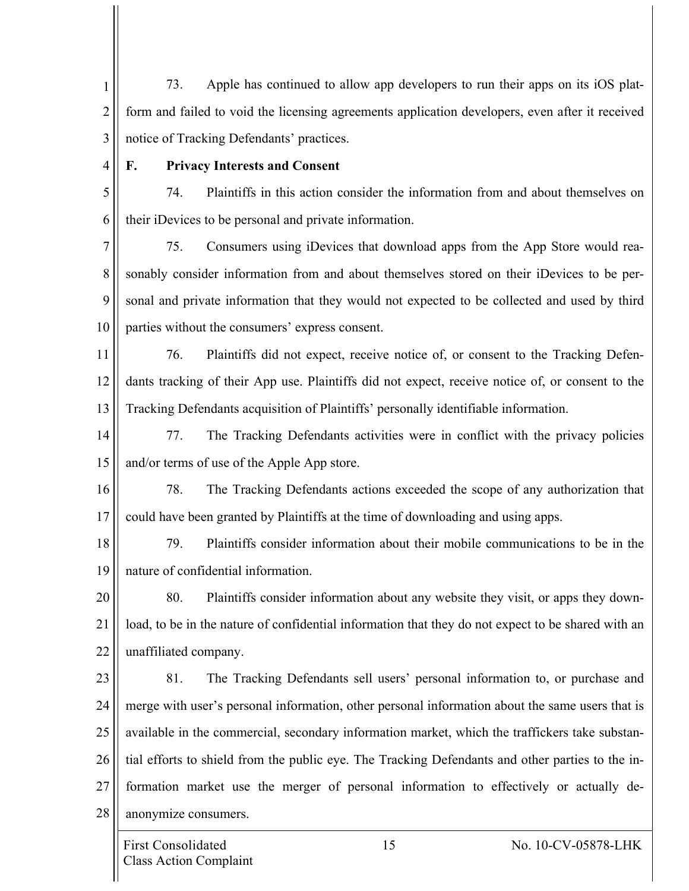1 2 3 73. Apple has continued to allow app developers to run their apps on its iOS platform and failed to void the licensing agreements application developers, even after it received notice of Tracking Defendants' practices.

4

### **F. Privacy Interests and Consent**

5 6 74. Plaintiffs in this action consider the information from and about themselves on their iDevices to be personal and private information.

7 8 9 10 75. Consumers using iDevices that download apps from the App Store would reasonably consider information from and about themselves stored on their iDevices to be personal and private information that they would not expected to be collected and used by third parties without the consumers' express consent.

11 12 13 76. Plaintiffs did not expect, receive notice of, or consent to the Tracking Defendants tracking of their App use. Plaintiffs did not expect, receive notice of, or consent to the Tracking Defendants acquisition of Plaintiffs' personally identifiable information.

14 15 77. The Tracking Defendants activities were in conflict with the privacy policies and/or terms of use of the Apple App store.

16 17 78. The Tracking Defendants actions exceeded the scope of any authorization that could have been granted by Plaintiffs at the time of downloading and using apps.

18 19 79. Plaintiffs consider information about their mobile communications to be in the nature of confidential information.

20 21 22 80. Plaintiffs consider information about any website they visit, or apps they download, to be in the nature of confidential information that they do not expect to be shared with an unaffiliated company.

23 24 25 26 27 28 81. The Tracking Defendants sell users' personal information to, or purchase and merge with user's personal information, other personal information about the same users that is available in the commercial, secondary information market, which the traffickers take substantial efforts to shield from the public eye. The Tracking Defendants and other parties to the information market use the merger of personal information to effectively or actually deanonymize consumers.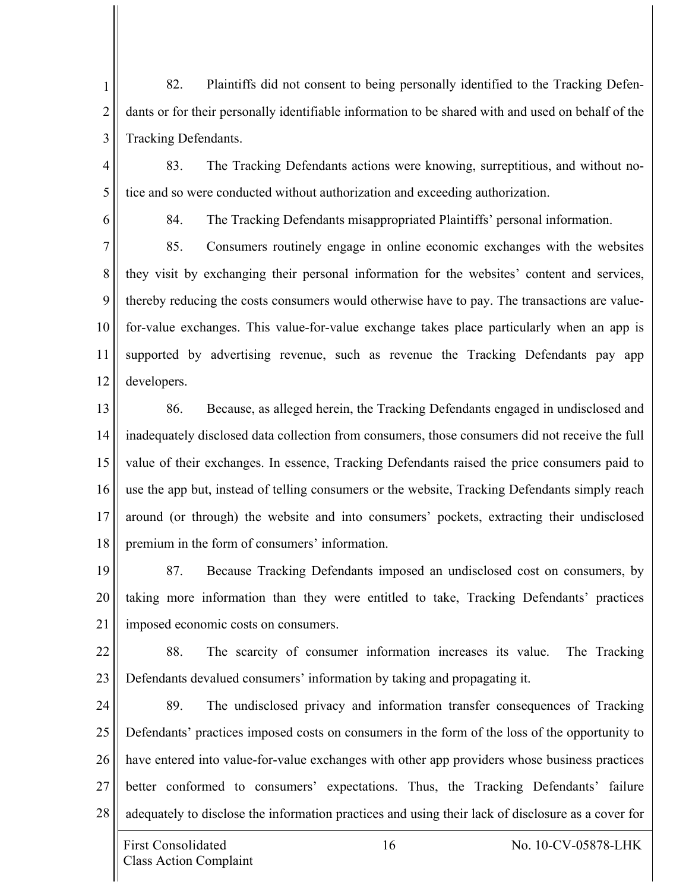1 2 3 82. Plaintiffs did not consent to being personally identified to the Tracking Defendants or for their personally identifiable information to be shared with and used on behalf of the Tracking Defendants.

- 4 5 83. The Tracking Defendants actions were knowing, surreptitious, and without notice and so were conducted without authorization and exceeding authorization.
- 6

84. The Tracking Defendants misappropriated Plaintiffs' personal information.

7 8 9 10 11 12 85. Consumers routinely engage in online economic exchanges with the websites they visit by exchanging their personal information for the websites' content and services, thereby reducing the costs consumers would otherwise have to pay. The transactions are valuefor-value exchanges. This value-for-value exchange takes place particularly when an app is supported by advertising revenue, such as revenue the Tracking Defendants pay app developers.

13 14 15 16 17 18 86. Because, as alleged herein, the Tracking Defendants engaged in undisclosed and inadequately disclosed data collection from consumers, those consumers did not receive the full value of their exchanges. In essence, Tracking Defendants raised the price consumers paid to use the app but, instead of telling consumers or the website, Tracking Defendants simply reach around (or through) the website and into consumers' pockets, extracting their undisclosed premium in the form of consumers' information.

19 20 21 87. Because Tracking Defendants imposed an undisclosed cost on consumers, by taking more information than they were entitled to take, Tracking Defendants' practices imposed economic costs on consumers.

22 23 88. The scarcity of consumer information increases its value. The Tracking Defendants devalued consumers' information by taking and propagating it.

24 25 26 27 28 89. The undisclosed privacy and information transfer consequences of Tracking Defendants' practices imposed costs on consumers in the form of the loss of the opportunity to have entered into value-for-value exchanges with other app providers whose business practices better conformed to consumers' expectations. Thus, the Tracking Defendants' failure adequately to disclose the information practices and using their lack of disclosure as a cover for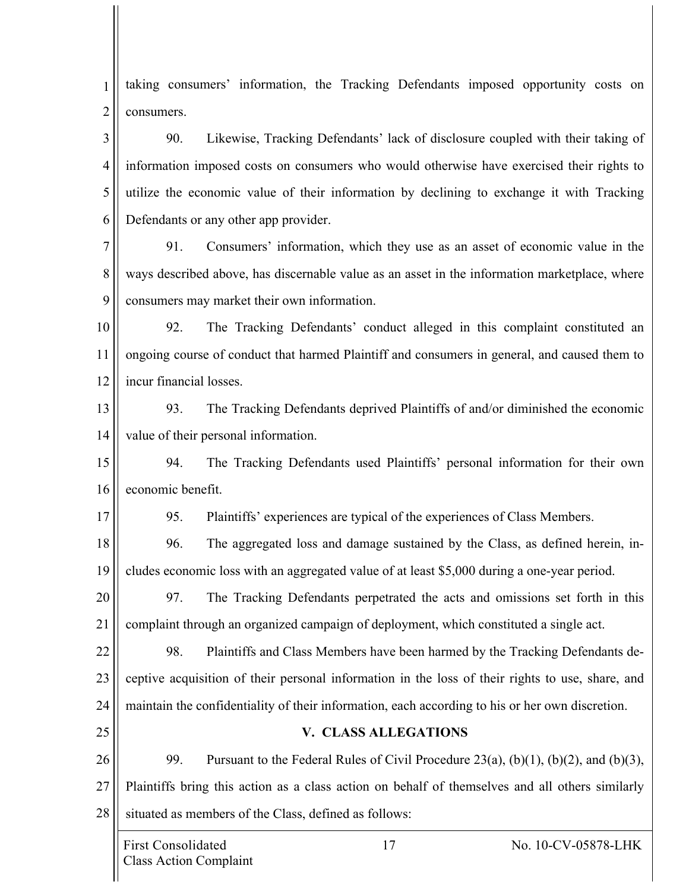1 2 taking consumers' information, the Tracking Defendants imposed opportunity costs on consumers.

3 4 5 6 90. Likewise, Tracking Defendants' lack of disclosure coupled with their taking of information imposed costs on consumers who would otherwise have exercised their rights to utilize the economic value of their information by declining to exchange it with Tracking Defendants or any other app provider.

7 8 9 91. Consumers' information, which they use as an asset of economic value in the ways described above, has discernable value as an asset in the information marketplace, where consumers may market their own information.

10 11 12 92. The Tracking Defendants' conduct alleged in this complaint constituted an ongoing course of conduct that harmed Plaintiff and consumers in general, and caused them to incur financial losses.

13 14 93. The Tracking Defendants deprived Plaintiffs of and/or diminished the economic value of their personal information.

15 16 94. The Tracking Defendants used Plaintiffs' personal information for their own economic benefit.

95. Plaintiffs' experiences are typical of the experiences of Class Members.

18 19 96. The aggregated loss and damage sustained by the Class, as defined herein, includes economic loss with an aggregated value of at least \$5,000 during a one-year period.

20 21 97. The Tracking Defendants perpetrated the acts and omissions set forth in this complaint through an organized campaign of deployment, which constituted a single act.

22 23 24 98. Plaintiffs and Class Members have been harmed by the Tracking Defendants deceptive acquisition of their personal information in the loss of their rights to use, share, and maintain the confidentiality of their information, each according to his or her own discretion.

26 27 28 99. Pursuant to the Federal Rules of Civil Procedure  $23(a)$ ,  $(b)(1)$ ,  $(b)(2)$ , and  $(b)(3)$ , Plaintiffs bring this action as a class action on behalf of themselves and all others similarly situated as members of the Class, defined as follows:

**V. CLASS ALLEGATIONS**

17

25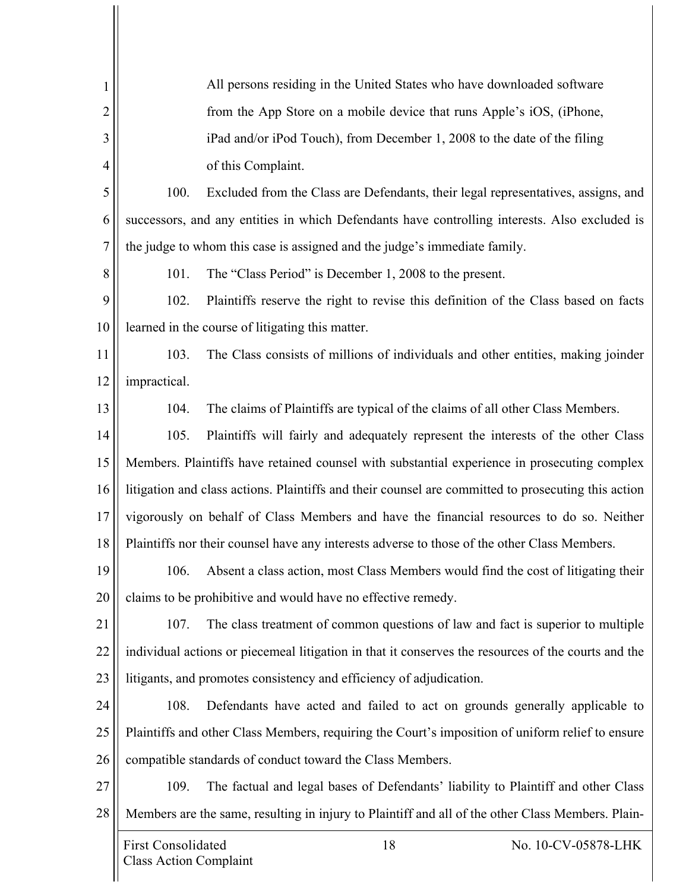| 1              |                                                                                          | All persons residing in the United States who have downloaded software                              |                     |  |
|----------------|------------------------------------------------------------------------------------------|-----------------------------------------------------------------------------------------------------|---------------------|--|
| $\overline{2}$ |                                                                                          | from the App Store on a mobile device that runs Apple's iOS, (iPhone,                               |                     |  |
| 3              |                                                                                          | iPad and/or iPod Touch), from December 1, 2008 to the date of the filing                            |                     |  |
| $\overline{4}$ |                                                                                          | of this Complaint.                                                                                  |                     |  |
| 5              | 100.                                                                                     | Excluded from the Class are Defendants, their legal representatives, assigns, and                   |                     |  |
| 6              |                                                                                          | successors, and any entities in which Defendants have controlling interests. Also excluded is       |                     |  |
| 7              |                                                                                          | the judge to whom this case is assigned and the judge's immediate family.                           |                     |  |
| 8              | 101.                                                                                     | The "Class Period" is December 1, 2008 to the present.                                              |                     |  |
| 9              | 102.                                                                                     | Plaintiffs reserve the right to revise this definition of the Class based on facts                  |                     |  |
| 10             |                                                                                          | learned in the course of litigating this matter.                                                    |                     |  |
| 11             | 103.                                                                                     | The Class consists of millions of individuals and other entities, making joinder                    |                     |  |
| 12             | impractical.                                                                             |                                                                                                     |                     |  |
| 13             | 104.                                                                                     | The claims of Plaintiffs are typical of the claims of all other Class Members.                      |                     |  |
| 14             | 105.                                                                                     | Plaintiffs will fairly and adequately represent the interests of the other Class                    |                     |  |
| 15             |                                                                                          | Members. Plaintiffs have retained counsel with substantial experience in prosecuting complex        |                     |  |
| 16             |                                                                                          | litigation and class actions. Plaintiffs and their counsel are committed to prosecuting this action |                     |  |
| 17             | vigorously on behalf of Class Members and have the financial resources to do so. Neither |                                                                                                     |                     |  |
| 18             |                                                                                          | Plaintiffs nor their counsel have any interests adverse to those of the other Class Members.        |                     |  |
| 19             |                                                                                          | 106. Absent a class action, most Class Members would find the cost of litigating their              |                     |  |
| 20             |                                                                                          | claims to be prohibitive and would have no effective remedy.                                        |                     |  |
| 21             | 107.                                                                                     | The class treatment of common questions of law and fact is superior to multiple                     |                     |  |
| 22             |                                                                                          | individual actions or piecemeal litigation in that it conserves the resources of the courts and the |                     |  |
| 23             |                                                                                          | litigants, and promotes consistency and efficiency of adjudication.                                 |                     |  |
| 24             | 108.                                                                                     | Defendants have acted and failed to act on grounds generally applicable to                          |                     |  |
| 25             |                                                                                          | Plaintiffs and other Class Members, requiring the Court's imposition of uniform relief to ensure    |                     |  |
| 26             | compatible standards of conduct toward the Class Members.                                |                                                                                                     |                     |  |
| 27             | 109.                                                                                     | The factual and legal bases of Defendants' liability to Plaintiff and other Class                   |                     |  |
| 28             |                                                                                          | Members are the same, resulting in injury to Plaintiff and all of the other Class Members. Plain-   |                     |  |
|                | <b>First Consolidated</b>                                                                | 18                                                                                                  | No. 10-CV-05878-LHK |  |
|                | <b>Class Action Complaint</b>                                                            |                                                                                                     |                     |  |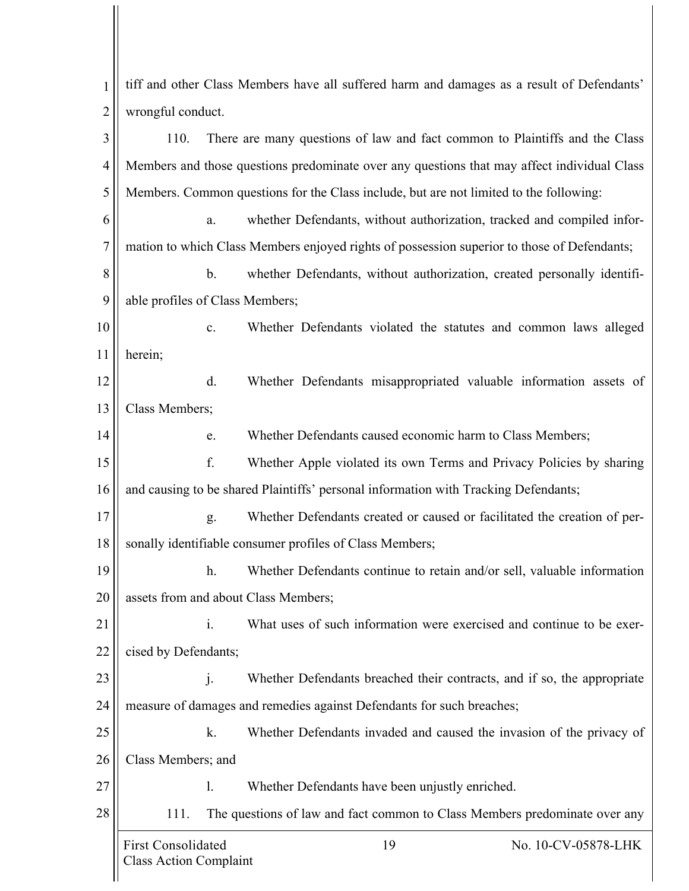First Consolidated 19 No. 10-CV-05878-LHK Class Action Complaint 1 2 3 4 5 6 7 8 9 10 11 12 13 14 15 16 17 18 19 20 21 22 23 24 25 26 27 28 tiff and other Class Members have all suffered harm and damages as a result of Defendants' wrongful conduct. 110. There are many questions of law and fact common to Plaintiffs and the Class Members and those questions predominate over any questions that may affect individual Class Members. Common questions for the Class include, but are not limited to the following: a. whether Defendants, without authorization, tracked and compiled information to which Class Members enjoyed rights of possession superior to those of Defendants; b. whether Defendants, without authorization, created personally identifiable profiles of Class Members; c. Whether Defendants violated the statutes and common laws alleged herein; d. Whether Defendants misappropriated valuable information assets of Class Members; e. Whether Defendants caused economic harm to Class Members; f. Whether Apple violated its own Terms and Privacy Policies by sharing and causing to be shared Plaintiffs' personal information with Tracking Defendants; g. Whether Defendants created or caused or facilitated the creation of personally identifiable consumer profiles of Class Members; h. Whether Defendants continue to retain and/or sell, valuable information assets from and about Class Members; i. What uses of such information were exercised and continue to be exercised by Defendants; j. Whether Defendants breached their contracts, and if so, the appropriate measure of damages and remedies against Defendants for such breaches; k. Whether Defendants invaded and caused the invasion of the privacy of Class Members; and l. Whether Defendants have been unjustly enriched. 111. The questions of law and fact common to Class Members predominate over any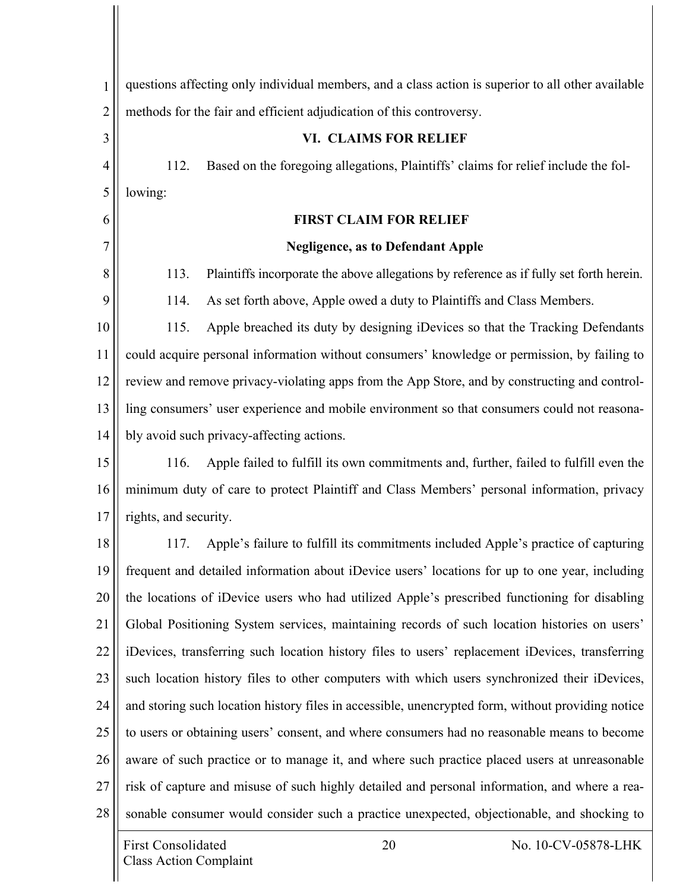| 1              | questions affecting only individual members, and a class action is superior to all other available |  |  |
|----------------|----------------------------------------------------------------------------------------------------|--|--|
| $\overline{2}$ | methods for the fair and efficient adjudication of this controversy.                               |  |  |
| 3              | VI. CLAIMS FOR RELIEF                                                                              |  |  |
| $\overline{4}$ | Based on the foregoing allegations, Plaintiffs' claims for relief include the fol-<br>112.         |  |  |
| 5              | lowing:                                                                                            |  |  |
| 6              | <b>FIRST CLAIM FOR RELIEF</b>                                                                      |  |  |
| 7              | <b>Negligence, as to Defendant Apple</b>                                                           |  |  |
| 8              | 113.<br>Plaintiffs incorporate the above allegations by reference as if fully set forth herein.    |  |  |
| 9              | 114.<br>As set forth above, Apple owed a duty to Plaintiffs and Class Members.                     |  |  |
| 10             | 115.<br>Apple breached its duty by designing iDevices so that the Tracking Defendants              |  |  |
| 11             | could acquire personal information without consumers' knowledge or permission, by failing to       |  |  |
| 12             | review and remove privacy-violating apps from the App Store, and by constructing and control-      |  |  |
| 13             | ling consumers' user experience and mobile environment so that consumers could not reasona-        |  |  |
| 14             | bly avoid such privacy-affecting actions.                                                          |  |  |
| 15             | Apple failed to fulfill its own commitments and, further, failed to fulfill even the<br>116.       |  |  |
| 16             | minimum duty of care to protect Plaintiff and Class Members' personal information, privacy         |  |  |
| 17             | rights, and security.                                                                              |  |  |
| 18             | Apple's failure to fulfill its commitments included Apple's practice of capturing<br>117.          |  |  |
| 19             | frequent and detailed information about iDevice users' locations for up to one year, including     |  |  |
| 20             | the locations of iDevice users who had utilized Apple's prescribed functioning for disabling       |  |  |
| 21             | Global Positioning System services, maintaining records of such location histories on users'       |  |  |
| 22             | iDevices, transferring such location history files to users' replacement iDevices, transferring    |  |  |
| 23             | such location history files to other computers with which users synchronized their iDevices,       |  |  |
| 24             | and storing such location history files in accessible, unencrypted form, without providing notice  |  |  |
| 25             | to users or obtaining users' consent, and where consumers had no reasonable means to become        |  |  |
| 26             | aware of such practice or to manage it, and where such practice placed users at unreasonable       |  |  |
| 27             | risk of capture and misuse of such highly detailed and personal information, and where a rea-      |  |  |
| 28             | sonable consumer would consider such a practice unexpected, objectionable, and shocking to         |  |  |
|                | <b>First Consolidated</b><br>20<br>No. 10-CV-05878-LHK<br><b>Class Action Complaint</b>            |  |  |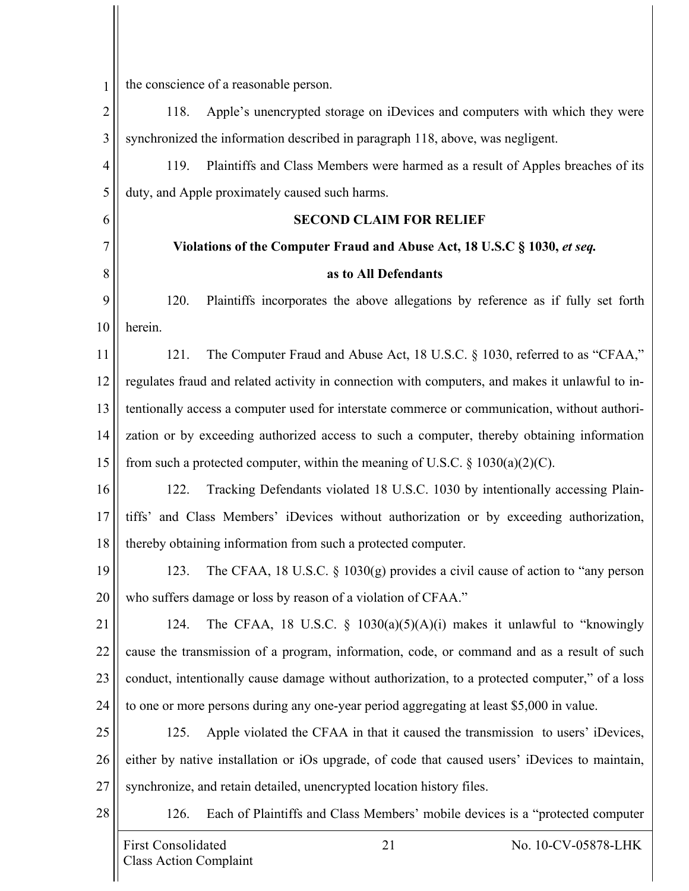| 1              | the conscience of a reasonable person.                                                          |  |  |
|----------------|-------------------------------------------------------------------------------------------------|--|--|
| $\overline{c}$ | Apple's unencrypted storage on iDevices and computers with which they were<br>118.              |  |  |
| 3              | synchronized the information described in paragraph 118, above, was negligent.                  |  |  |
| 4              | Plaintiffs and Class Members were harmed as a result of Apples breaches of its<br>119.          |  |  |
| 5              | duty, and Apple proximately caused such harms.                                                  |  |  |
| 6              | <b>SECOND CLAIM FOR RELIEF</b>                                                                  |  |  |
| 7              | Violations of the Computer Fraud and Abuse Act, 18 U.S.C § 1030, et seq.                        |  |  |
| 8              | as to All Defendants                                                                            |  |  |
| 9              | Plaintiffs incorporates the above allegations by reference as if fully set forth<br>120.        |  |  |
| 10             | herein.                                                                                         |  |  |
| 11             | The Computer Fraud and Abuse Act, 18 U.S.C. § 1030, referred to as "CFAA,"<br>121.              |  |  |
| 12             | regulates fraud and related activity in connection with computers, and makes it unlawful to in- |  |  |
| 13             | tentionally access a computer used for interstate commerce or communication, without authori-   |  |  |
| 14             | zation or by exceeding authorized access to such a computer, thereby obtaining information      |  |  |
| 15             | from such a protected computer, within the meaning of U.S.C. $\S 1030(a)(2)(C)$ .               |  |  |
| 16             | Tracking Defendants violated 18 U.S.C. 1030 by intentionally accessing Plain-<br>122.           |  |  |
| 17             | tiffs' and Class Members' iDevices without authorization or by exceeding authorization,         |  |  |
| 18             | thereby obtaining information from such a protected computer.                                   |  |  |
| 19             | The CFAA, 18 U.S.C. § 1030(g) provides a civil cause of action to "any person<br>123.           |  |  |
| 20             | who suffers damage or loss by reason of a violation of CFAA."                                   |  |  |
| 21             | The CFAA, 18 U.S.C. $\frac{1}{2}$ 1030(a)(5)(A)(i) makes it unlawful to "knowingly<br>124.      |  |  |
| 22             | cause the transmission of a program, information, code, or command and as a result of such      |  |  |
| 23             | conduct, intentionally cause damage without authorization, to a protected computer," of a loss  |  |  |
| 24             | to one or more persons during any one-year period aggregating at least \$5,000 in value.        |  |  |
| 25             | Apple violated the CFAA in that it caused the transmission to users' iDevices,<br>125.          |  |  |
| 26             | either by native installation or iOs upgrade, of code that caused users' iDevices to maintain,  |  |  |
| 27             | synchronize, and retain detailed, unencrypted location history files.                           |  |  |
| 28             | Each of Plaintiffs and Class Members' mobile devices is a "protected computer<br>126.           |  |  |
|                | <b>First Consolidated</b><br>21<br>No. 10-CV-05878-LHK                                          |  |  |
|                | <b>Class Action Complaint</b>                                                                   |  |  |

 $\prod$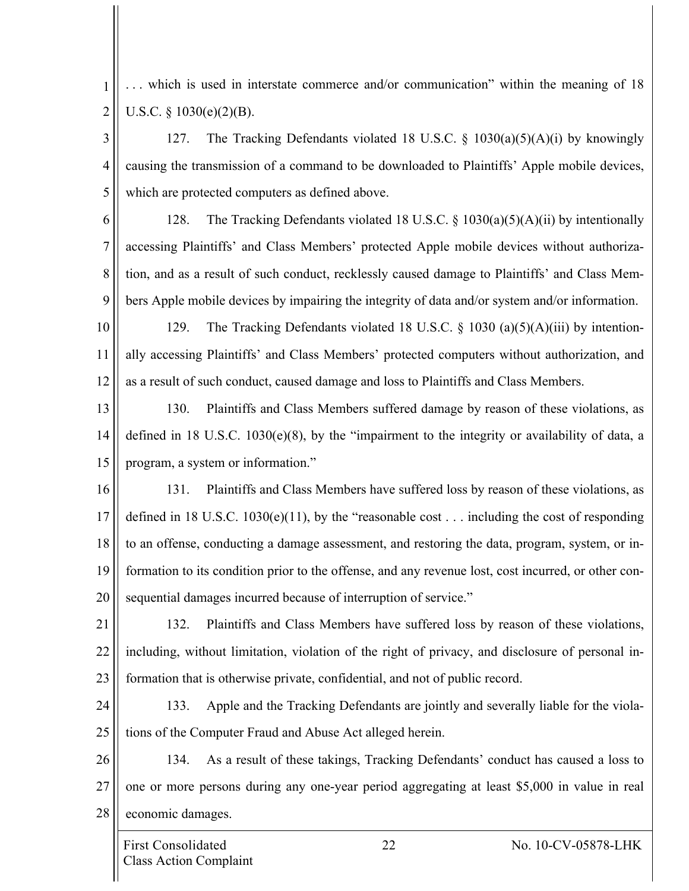1 2 . . . which is used in interstate commerce and/or communication" within the meaning of 18 U.S.C. § 1030(e)(2)(B).

3 4 5 127. The Tracking Defendants violated 18 U.S.C. § 1030(a)(5)(A)(i) by knowingly causing the transmission of a command to be downloaded to Plaintiffs' Apple mobile devices, which are protected computers as defined above.

6

7 8 9 128. The Tracking Defendants violated 18 U.S.C. § 1030(a)(5)(A)(ii) by intentionally accessing Plaintiffs' and Class Members' protected Apple mobile devices without authorization, and as a result of such conduct, recklessly caused damage to Plaintiffs' and Class Members Apple mobile devices by impairing the integrity of data and/or system and/or information.

10 11 12 129. The Tracking Defendants violated 18 U.S.C. § 1030 (a)(5)(A)(iii) by intentionally accessing Plaintiffs' and Class Members' protected computers without authorization, and as a result of such conduct, caused damage and loss to Plaintiffs and Class Members.

13 14 15 130. Plaintiffs and Class Members suffered damage by reason of these violations, as defined in 18 U.S.C. 1030(e)(8), by the "impairment to the integrity or availability of data, a program, a system or information."

16 17 18 19 20 131. Plaintiffs and Class Members have suffered loss by reason of these violations, as defined in 18 U.S.C. 1030(e)(11), by the "reasonable cost . . . including the cost of responding to an offense, conducting a damage assessment, and restoring the data, program, system, or information to its condition prior to the offense, and any revenue lost, cost incurred, or other consequential damages incurred because of interruption of service."

21 22 23 132. Plaintiffs and Class Members have suffered loss by reason of these violations, including, without limitation, violation of the right of privacy, and disclosure of personal information that is otherwise private, confidential, and not of public record.

24 25 133. Apple and the Tracking Defendants are jointly and severally liable for the violations of the Computer Fraud and Abuse Act alleged herein.

26 27 28 134. As a result of these takings, Tracking Defendants' conduct has caused a loss to one or more persons during any one-year period aggregating at least \$5,000 in value in real economic damages.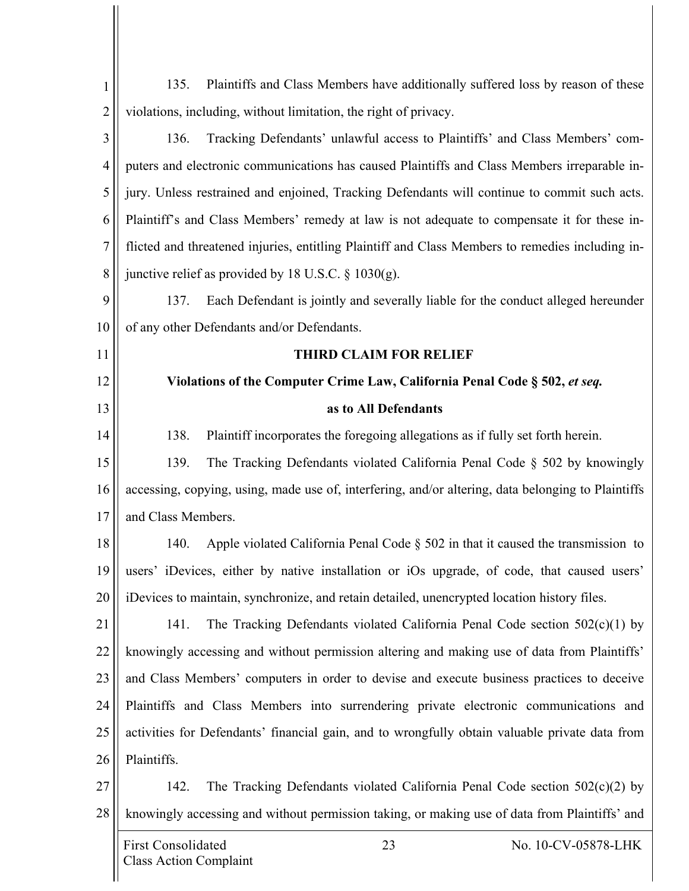| $\mathbf{1}$   | Plaintiffs and Class Members have additionally suffered loss by reason of these<br>135.            |  |  |
|----------------|----------------------------------------------------------------------------------------------------|--|--|
| $\overline{2}$ | violations, including, without limitation, the right of privacy.                                   |  |  |
| 3              | 136.<br>Tracking Defendants' unlawful access to Plaintiffs' and Class Members' com-                |  |  |
| $\overline{4}$ | puters and electronic communications has caused Plaintiffs and Class Members irreparable in-       |  |  |
| 5              | jury. Unless restrained and enjoined, Tracking Defendants will continue to commit such acts.       |  |  |
| 6              | Plaintiff's and Class Members' remedy at law is not adequate to compensate it for these in-        |  |  |
| 7              | flicted and threatened injuries, entitling Plaintiff and Class Members to remedies including in-   |  |  |
| 8              | junctive relief as provided by 18 U.S.C. $\S$ 1030(g).                                             |  |  |
| 9              | Each Defendant is jointly and severally liable for the conduct alleged hereunder<br>137.           |  |  |
| 10             | of any other Defendants and/or Defendants.                                                         |  |  |
| 11             | <b>THIRD CLAIM FOR RELIEF</b>                                                                      |  |  |
| 12             | Violations of the Computer Crime Law, California Penal Code § 502, et seq.                         |  |  |
| 13             | as to All Defendants                                                                               |  |  |
| 14             | Plaintiff incorporates the foregoing allegations as if fully set forth herein.<br>138.             |  |  |
| 15             | 139.<br>The Tracking Defendants violated California Penal Code § 502 by knowingly                  |  |  |
| 16             | accessing, copying, using, made use of, interfering, and/or altering, data belonging to Plaintiffs |  |  |
| 17             | and Class Members.                                                                                 |  |  |
| 18             | Apple violated California Penal Code $\S$ 502 in that it caused the transmission to<br>140.        |  |  |
| 19             | users' iDevices, either by native installation or iOs upgrade, of code, that caused users'         |  |  |
| 20             | iDevices to maintain, synchronize, and retain detailed, unencrypted location history files.        |  |  |
| 21             | The Tracking Defendants violated California Penal Code section $502(c)(1)$ by<br>141.              |  |  |
| 22             | knowingly accessing and without permission altering and making use of data from Plaintiffs'        |  |  |
| 23             | and Class Members' computers in order to devise and execute business practices to deceive          |  |  |
| 24             | Plaintiffs and Class Members into surrendering private electronic communications and               |  |  |
| 25             | activities for Defendants' financial gain, and to wrongfully obtain valuable private data from     |  |  |
| 26             | Plaintiffs.                                                                                        |  |  |
| 27             | The Tracking Defendants violated California Penal Code section $502(c)(2)$ by<br>142.              |  |  |
| 28             | knowingly accessing and without permission taking, or making use of data from Plaintiffs' and      |  |  |
|                | <b>First Consolidated</b><br>23<br>No. 10-CV-05878-LHK<br><b>Class Action Complaint</b>            |  |  |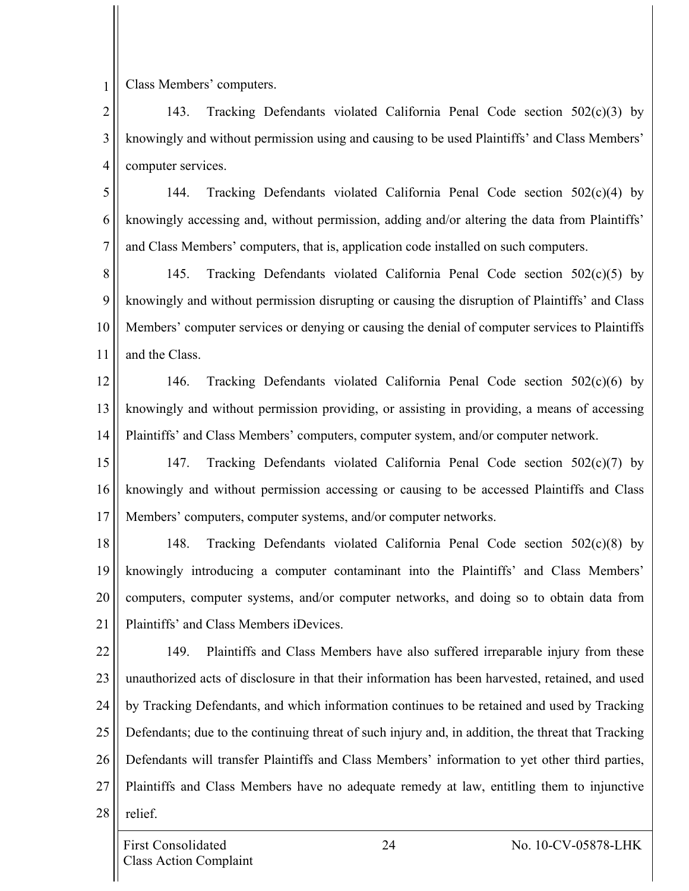Class Members' computers.

1

2 3 4 143. Tracking Defendants violated California Penal Code section 502(c)(3) by knowingly and without permission using and causing to be used Plaintiffs' and Class Members' computer services.

5 6 7 144. Tracking Defendants violated California Penal Code section 502(c)(4) by knowingly accessing and, without permission, adding and/or altering the data from Plaintiffs' and Class Members' computers, that is, application code installed on such computers.

8 9 10 11 145. Tracking Defendants violated California Penal Code section 502(c)(5) by knowingly and without permission disrupting or causing the disruption of Plaintiffs' and Class Members' computer services or denying or causing the denial of computer services to Plaintiffs and the Class.

12 13 14 146. Tracking Defendants violated California Penal Code section 502(c)(6) by knowingly and without permission providing, or assisting in providing, a means of accessing Plaintiffs' and Class Members' computers, computer system, and/or computer network.

15 16 17 147. Tracking Defendants violated California Penal Code section 502(c)(7) by knowingly and without permission accessing or causing to be accessed Plaintiffs and Class Members' computers, computer systems, and/or computer networks.

18 19 20 21 148. Tracking Defendants violated California Penal Code section 502(c)(8) by knowingly introducing a computer contaminant into the Plaintiffs' and Class Members' computers, computer systems, and/or computer networks, and doing so to obtain data from Plaintiffs' and Class Members iDevices.

22 23 24 25 26 27 28 149. Plaintiffs and Class Members have also suffered irreparable injury from these unauthorized acts of disclosure in that their information has been harvested, retained, and used by Tracking Defendants, and which information continues to be retained and used by Tracking Defendants; due to the continuing threat of such injury and, in addition, the threat that Tracking Defendants will transfer Plaintiffs and Class Members' information to yet other third parties, Plaintiffs and Class Members have no adequate remedy at law, entitling them to injunctive relief.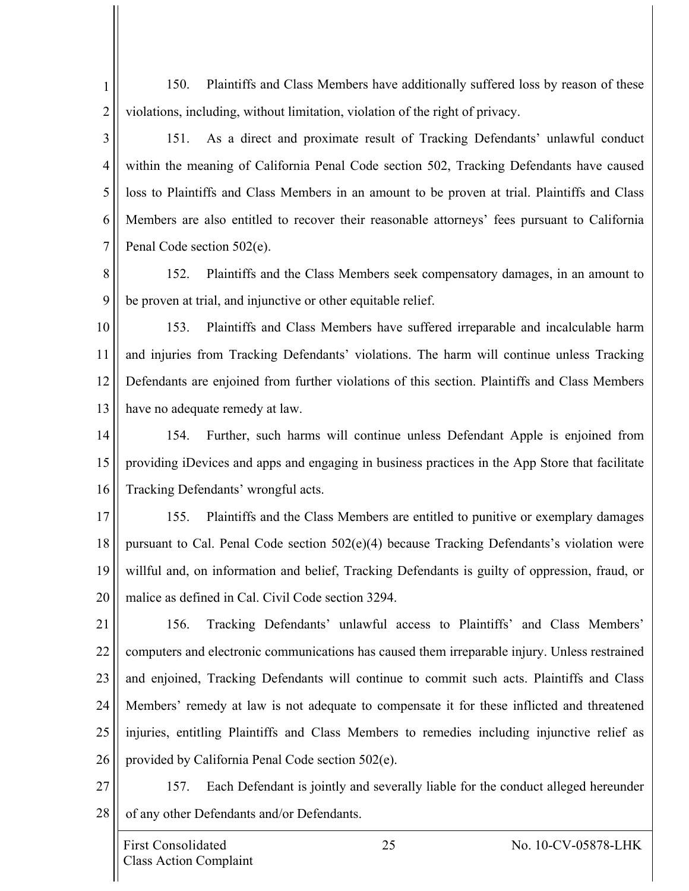1 2 150. Plaintiffs and Class Members have additionally suffered loss by reason of these violations, including, without limitation, violation of the right of privacy.

3 4 5 6 7 151. As a direct and proximate result of Tracking Defendants' unlawful conduct within the meaning of California Penal Code section 502, Tracking Defendants have caused loss to Plaintiffs and Class Members in an amount to be proven at trial. Plaintiffs and Class Members are also entitled to recover their reasonable attorneys' fees pursuant to California Penal Code section 502(e).

8 9 152. Plaintiffs and the Class Members seek compensatory damages, in an amount to be proven at trial, and injunctive or other equitable relief.

10 11 12 13 153. Plaintiffs and Class Members have suffered irreparable and incalculable harm and injuries from Tracking Defendants' violations. The harm will continue unless Tracking Defendants are enjoined from further violations of this section. Plaintiffs and Class Members have no adequate remedy at law.

14 15 16 154. Further, such harms will continue unless Defendant Apple is enjoined from providing iDevices and apps and engaging in business practices in the App Store that facilitate Tracking Defendants' wrongful acts.

17 18 19 20 155. Plaintiffs and the Class Members are entitled to punitive or exemplary damages pursuant to Cal. Penal Code section 502(e)(4) because Tracking Defendants's violation were willful and, on information and belief, Tracking Defendants is guilty of oppression, fraud, or malice as defined in Cal. Civil Code section 3294.

21 22 23 24 25 26 156. Tracking Defendants' unlawful access to Plaintiffs' and Class Members' computers and electronic communications has caused them irreparable injury. Unless restrained and enjoined, Tracking Defendants will continue to commit such acts. Plaintiffs and Class Members' remedy at law is not adequate to compensate it for these inflicted and threatened injuries, entitling Plaintiffs and Class Members to remedies including injunctive relief as provided by California Penal Code section 502(e).

27 28 157. Each Defendant is jointly and severally liable for the conduct alleged hereunder of any other Defendants and/or Defendants.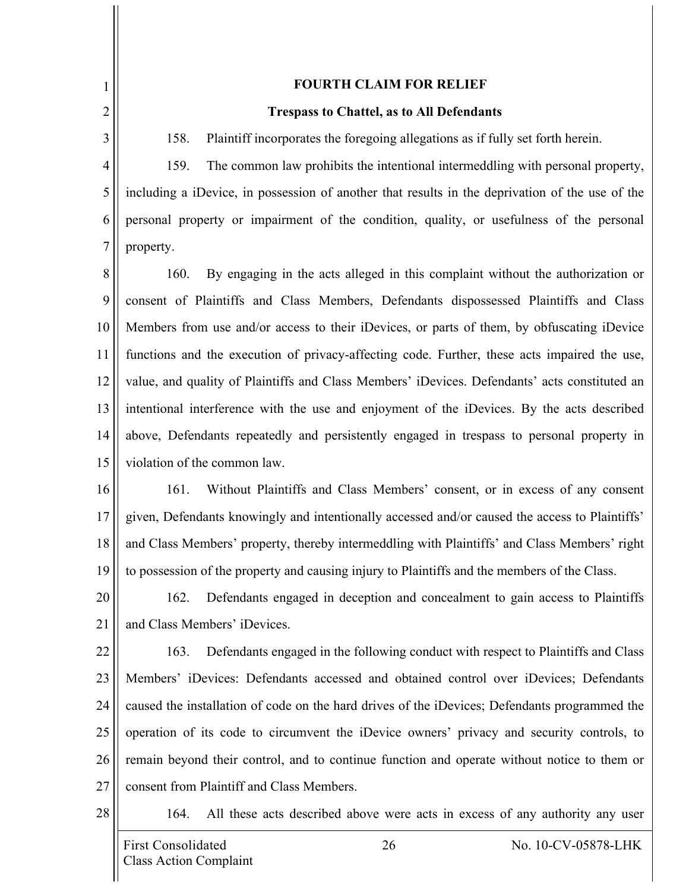1 2

3

#### **FOURTH CLAIM FOR RELIEF**

#### **Trespass to Chattel, as to All Defendants**

158. Plaintiff incorporates the foregoing allegations as if fully set forth herein.

4 5 6 7 159. The common law prohibits the intentional intermeddling with personal property, including a iDevice, in possession of another that results in the deprivation of the use of the personal property or impairment of the condition, quality, or usefulness of the personal property.

8 9 10 11 12 13 14 15 160. By engaging in the acts alleged in this complaint without the authorization or consent of Plaintiffs and Class Members, Defendants dispossessed Plaintiffs and Class Members from use and/or access to their iDevices, or parts of them, by obfuscating iDevice functions and the execution of privacy-affecting code. Further, these acts impaired the use, value, and quality of Plaintiffs and Class Members' iDevices. Defendants' acts constituted an intentional interference with the use and enjoyment of the iDevices. By the acts described above, Defendants repeatedly and persistently engaged in trespass to personal property in violation of the common law.

16 17 18 19 161. Without Plaintiffs and Class Members' consent, or in excess of any consent given, Defendants knowingly and intentionally accessed and/or caused the access to Plaintiffs' and Class Members' property, thereby intermeddling with Plaintiffs' and Class Members' right to possession of the property and causing injury to Plaintiffs and the members of the Class.

20 21 162. Defendants engaged in deception and concealment to gain access to Plaintiffs and Class Members' iDevices.

22 23 24 25 26 27 163. Defendants engaged in the following conduct with respect to Plaintiffs and Class Members' iDevices: Defendants accessed and obtained control over iDevices; Defendants caused the installation of code on the hard drives of the iDevices; Defendants programmed the operation of its code to circumvent the iDevice owners' privacy and security controls, to remain beyond their control, and to continue function and operate without notice to them or consent from Plaintiff and Class Members.

28

164. All these acts described above were acts in excess of any authority any user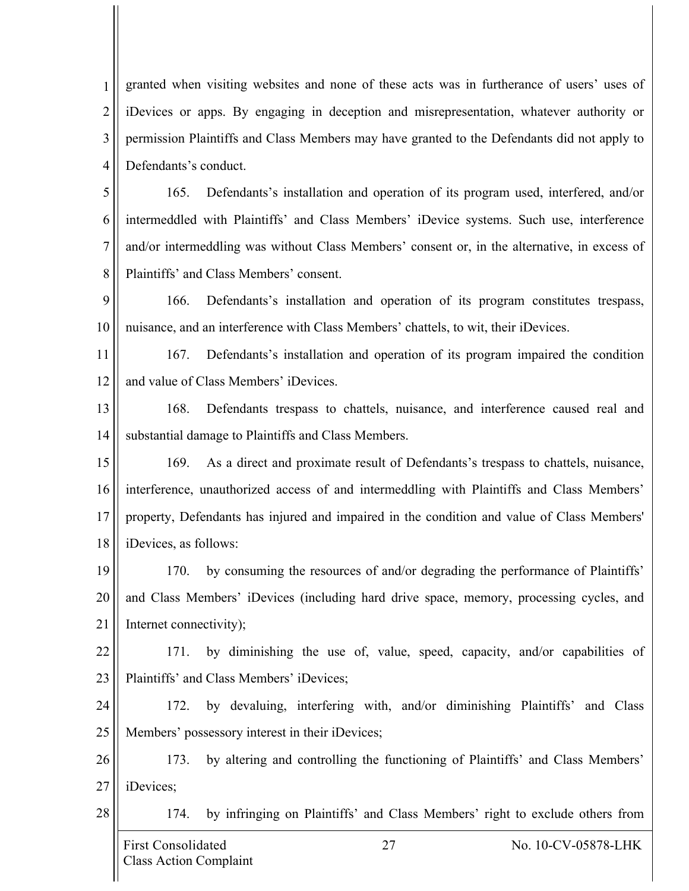1 2 3 4 granted when visiting websites and none of these acts was in furtherance of users' uses of iDevices or apps. By engaging in deception and misrepresentation, whatever authority or permission Plaintiffs and Class Members may have granted to the Defendants did not apply to Defendants's conduct.

5 6 7 8 165. Defendants's installation and operation of its program used, interfered, and/or intermeddled with Plaintiffs' and Class Members' iDevice systems. Such use, interference and/or intermeddling was without Class Members' consent or, in the alternative, in excess of Plaintiffs' and Class Members' consent.

9 10 166. Defendants's installation and operation of its program constitutes trespass, nuisance, and an interference with Class Members' chattels, to wit, their iDevices.

11 12 167. Defendants's installation and operation of its program impaired the condition and value of Class Members' iDevices.

13 14 168. Defendants trespass to chattels, nuisance, and interference caused real and substantial damage to Plaintiffs and Class Members.

15 16 17 18 169. As a direct and proximate result of Defendants's trespass to chattels, nuisance, interference, unauthorized access of and intermeddling with Plaintiffs and Class Members' property, Defendants has injured and impaired in the condition and value of Class Members' iDevices, as follows:

19 20 21 170. by consuming the resources of and/or degrading the performance of Plaintiffs' and Class Members' iDevices (including hard drive space, memory, processing cycles, and Internet connectivity);

22 23 171. by diminishing the use of, value, speed, capacity, and/or capabilities of Plaintiffs' and Class Members' iDevices;

24 25 172. by devaluing, interfering with, and/or diminishing Plaintiffs' and Class Members' possessory interest in their iDevices;

26 27 173. by altering and controlling the functioning of Plaintiffs' and Class Members' iDevices;

28

174. by infringing on Plaintiffs' and Class Members' right to exclude others from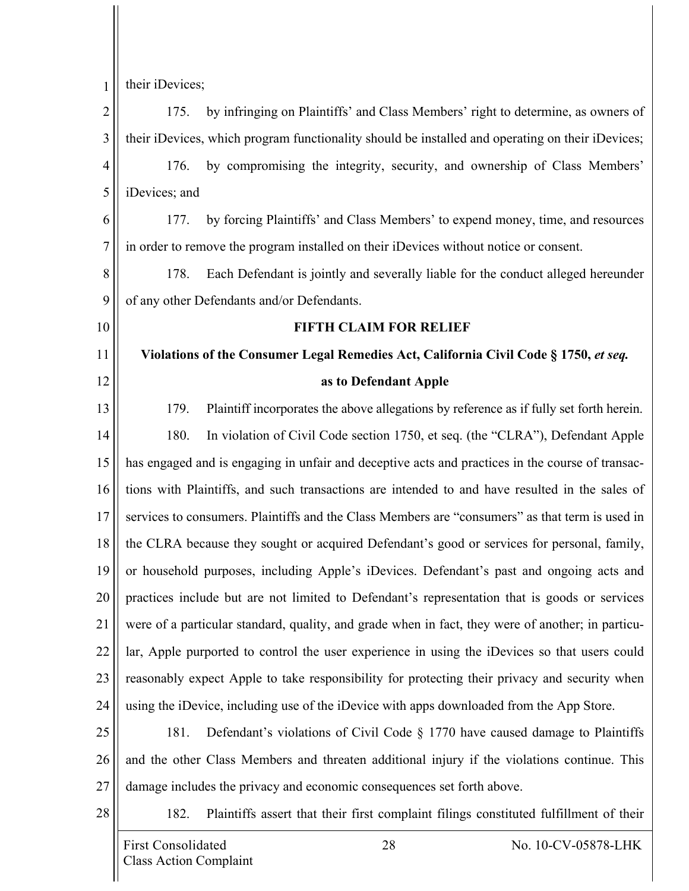1 their iDevices;

2 3 4 5 6 7 8 9 10 11 12 13 14 15 16 17 18 19 20 21 22 23 24 25 26 27 28 175. by infringing on Plaintiffs' and Class Members' right to determine, as owners of their iDevices, which program functionality should be installed and operating on their iDevices; 176. by compromising the integrity, security, and ownership of Class Members' iDevices; and 177. by forcing Plaintiffs' and Class Members' to expend money, time, and resources in order to remove the program installed on their iDevices without notice or consent. 178. Each Defendant is jointly and severally liable for the conduct alleged hereunder of any other Defendants and/or Defendants. **FIFTH CLAIM FOR RELIEF Violations of the Consumer Legal Remedies Act, California Civil Code § 1750,** *et seq.* **as to Defendant Apple** 179. Plaintiff incorporates the above allegations by reference as if fully set forth herein. 180. In violation of Civil Code section 1750, et seq. (the "CLRA"), Defendant Apple has engaged and is engaging in unfair and deceptive acts and practices in the course of transactions with Plaintiffs, and such transactions are intended to and have resulted in the sales of services to consumers. Plaintiffs and the Class Members are "consumers" as that term is used in the CLRA because they sought or acquired Defendant's good or services for personal, family, or household purposes, including Apple's iDevices. Defendant's past and ongoing acts and practices include but are not limited to Defendant's representation that is goods or services were of a particular standard, quality, and grade when in fact, they were of another; in particular, Apple purported to control the user experience in using the iDevices so that users could reasonably expect Apple to take responsibility for protecting their privacy and security when using the iDevice, including use of the iDevice with apps downloaded from the App Store. 181. Defendant's violations of Civil Code § 1770 have caused damage to Plaintiffs and the other Class Members and threaten additional injury if the violations continue. This damage includes the privacy and economic consequences set forth above. 182. Plaintiffs assert that their first complaint filings constituted fulfillment of their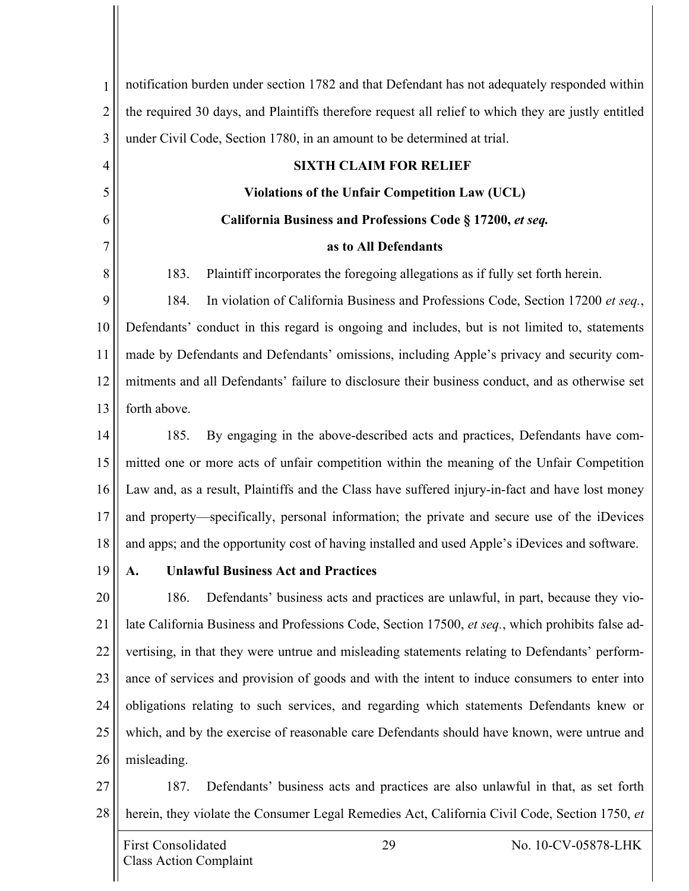| $\mathbf{1}$   | notification burden under section 1782 and that Defendant has not adequately responded within       |  |  |
|----------------|-----------------------------------------------------------------------------------------------------|--|--|
| $\overline{2}$ | the required 30 days, and Plaintiffs therefore request all relief to which they are justly entitled |  |  |
| 3              | under Civil Code, Section 1780, in an amount to be determined at trial.                             |  |  |
| $\overline{4}$ | <b>SIXTH CLAIM FOR RELIEF</b>                                                                       |  |  |
| 5              | <b>Violations of the Unfair Competition Law (UCL)</b>                                               |  |  |
| 6              | California Business and Professions Code § 17200, et seq.                                           |  |  |
| 7              | as to All Defendants                                                                                |  |  |
| 8              | Plaintiff incorporates the foregoing allegations as if fully set forth herein.<br>183.              |  |  |
| 9              | In violation of California Business and Professions Code, Section 17200 et seq.,<br>184.            |  |  |
| 10             | Defendants' conduct in this regard is ongoing and includes, but is not limited to, statements       |  |  |
| 11             | made by Defendants and Defendants' omissions, including Apple's privacy and security com-           |  |  |
| 12             | mitments and all Defendants' failure to disclosure their business conduct, and as otherwise set     |  |  |
| 13             | forth above.                                                                                        |  |  |
| 14             | By engaging in the above-described acts and practices, Defendants have com-<br>185.                 |  |  |
| 15             | mitted one or more acts of unfair competition within the meaning of the Unfair Competition          |  |  |
| 16             | Law and, as a result, Plaintiffs and the Class have suffered injury-in-fact and have lost money     |  |  |
| 17             | and property—specifically, personal information; the private and secure use of the iDevices         |  |  |
| 18             | and apps; and the opportunity cost of having installed and used Apple's iDevices and software.      |  |  |
| 19             | <b>Unlawful Business Act and Practices</b><br>A.                                                    |  |  |
| 20             | 186.<br>Defendants' business acts and practices are unlawful, in part, because they vio-            |  |  |
| 21             | late California Business and Professions Code, Section 17500, et seq., which prohibits false ad-    |  |  |
| 22             | vertising, in that they were untrue and misleading statements relating to Defendants' perform-      |  |  |
| 23             | ance of services and provision of goods and with the intent to induce consumers to enter into       |  |  |
| 24             | obligations relating to such services, and regarding which statements Defendants knew or            |  |  |
| 25             | which, and by the exercise of reasonable care Defendants should have known, were untrue and         |  |  |
| 26             | misleading.                                                                                         |  |  |
| 27             | Defendants' business acts and practices are also unlawful in that, as set forth<br>187.             |  |  |
| 28             | herein, they violate the Consumer Legal Remedies Act, California Civil Code, Section 1750, et       |  |  |
|                | 29<br><b>First Consolidated</b><br>No. 10-CV-05878-LHK<br><b>Class Action Complaint</b>             |  |  |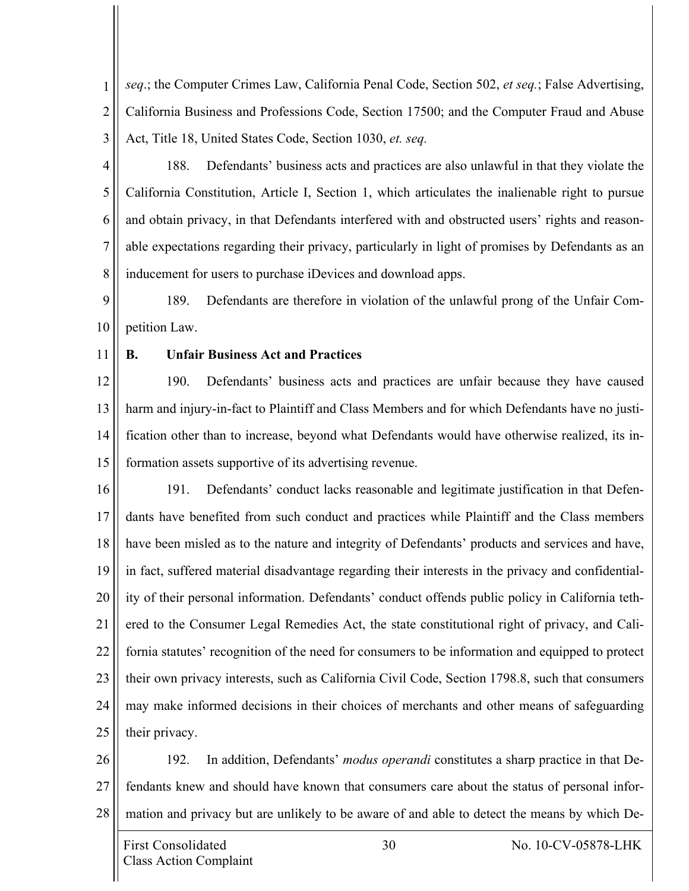1 2 3 *seq*.; the Computer Crimes Law, California Penal Code, Section 502, *et seq.*; False Advertising, California Business and Professions Code, Section 17500; and the Computer Fraud and Abuse Act, Title 18, United States Code, Section 1030, *et. seq.*

4

5 6 7 8 188. Defendants' business acts and practices are also unlawful in that they violate the California Constitution, Article I, Section 1, which articulates the inalienable right to pursue and obtain privacy, in that Defendants interfered with and obstructed users' rights and reasonable expectations regarding their privacy, particularly in light of promises by Defendants as an inducement for users to purchase iDevices and download apps.

9 10 189. Defendants are therefore in violation of the unlawful prong of the Unfair Competition Law.

11

#### **B. Unfair Business Act and Practices**

12 13 14 15 190. Defendants' business acts and practices are unfair because they have caused harm and injury-in-fact to Plaintiff and Class Members and for which Defendants have no justification other than to increase, beyond what Defendants would have otherwise realized, its information assets supportive of its advertising revenue.

16 17 18 19 20 21 22 23 24 25 191. Defendants' conduct lacks reasonable and legitimate justification in that Defendants have benefited from such conduct and practices while Plaintiff and the Class members have been misled as to the nature and integrity of Defendants' products and services and have, in fact, suffered material disadvantage regarding their interests in the privacy and confidentiality of their personal information. Defendants' conduct offends public policy in California tethered to the Consumer Legal Remedies Act, the state constitutional right of privacy, and California statutes' recognition of the need for consumers to be information and equipped to protect their own privacy interests, such as California Civil Code, Section 1798.8, such that consumers may make informed decisions in their choices of merchants and other means of safeguarding their privacy.

26 27 28 192. In addition, Defendants' *modus operandi* constitutes a sharp practice in that Defendants knew and should have known that consumers care about the status of personal information and privacy but are unlikely to be aware of and able to detect the means by which De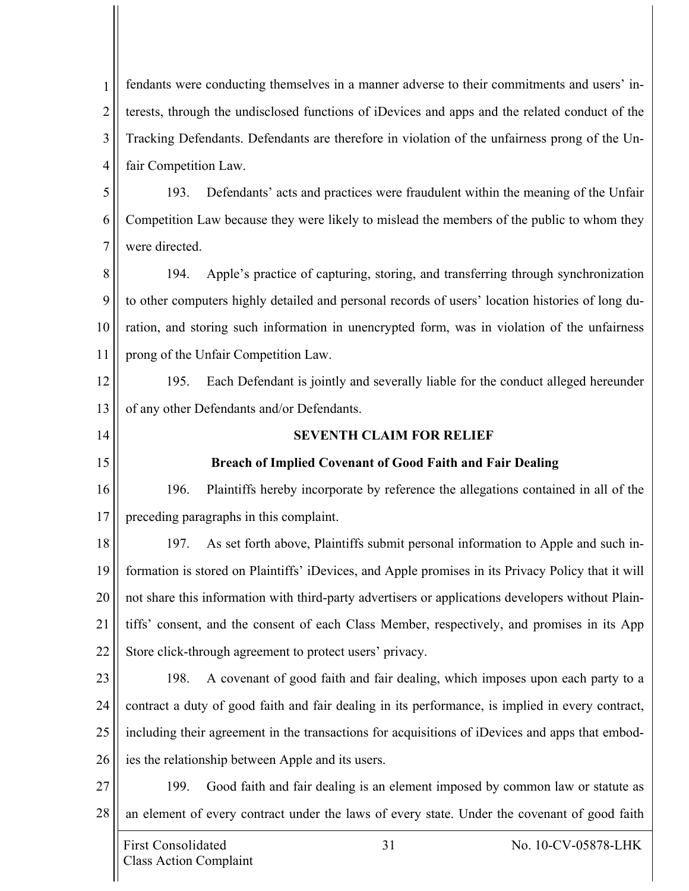1 2 3 4 fendants were conducting themselves in a manner adverse to their commitments and users' interests, through the undisclosed functions of iDevices and apps and the related conduct of the Tracking Defendants. Defendants are therefore in violation of the unfairness prong of the Unfair Competition Law.

5 6 7 193. Defendants' acts and practices were fraudulent within the meaning of the Unfair Competition Law because they were likely to mislead the members of the public to whom they were directed.

8 9 10 11 194. Apple's practice of capturing, storing, and transferring through synchronization to other computers highly detailed and personal records of users' location histories of long duration, and storing such information in unencrypted form, was in violation of the unfairness prong of the Unfair Competition Law.

12 13 195. Each Defendant is jointly and severally liable for the conduct alleged hereunder of any other Defendants and/or Defendants.

14

15

**SEVENTH CLAIM FOR RELIEF**

## **Breach of Implied Covenant of Good Faith and Fair Dealing**

16 17 196. Plaintiffs hereby incorporate by reference the allegations contained in all of the preceding paragraphs in this complaint.

18 19 20 21 22 197. As set forth above, Plaintiffs submit personal information to Apple and such information is stored on Plaintiffs' iDevices, and Apple promises in its Privacy Policy that it will not share this information with third-party advertisers or applications developers without Plaintiffs' consent, and the consent of each Class Member, respectively, and promises in its App Store click-through agreement to protect users' privacy.

- 23 24 25 26 198. A covenant of good faith and fair dealing, which imposes upon each party to a contract a duty of good faith and fair dealing in its performance, is implied in every contract, including their agreement in the transactions for acquisitions of iDevices and apps that embodies the relationship between Apple and its users.
- 27 28 199. Good faith and fair dealing is an element imposed by common law or statute as an element of every contract under the laws of every state. Under the covenant of good faith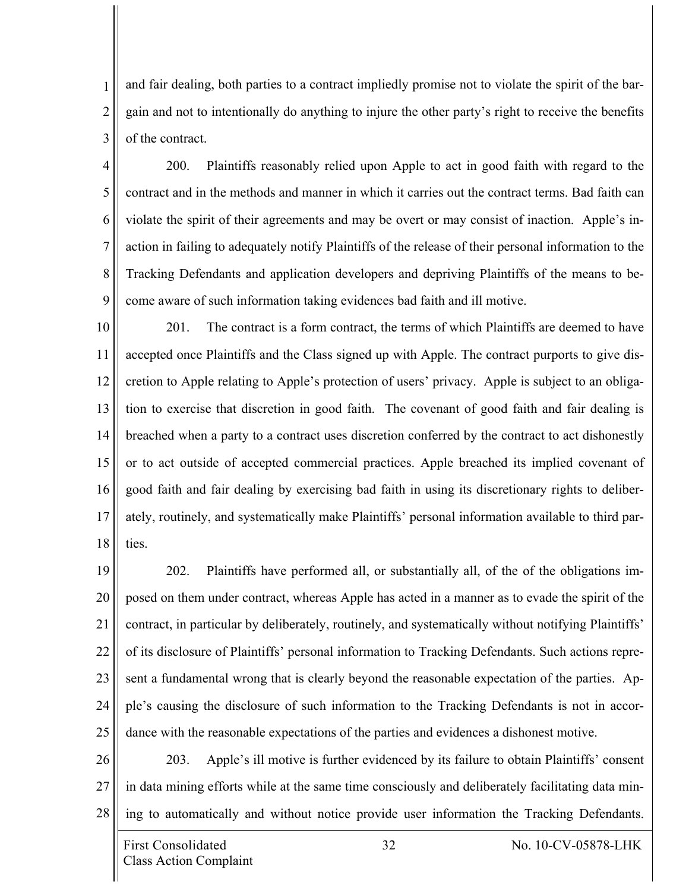1 2 3 and fair dealing, both parties to a contract impliedly promise not to violate the spirit of the bargain and not to intentionally do anything to injure the other party's right to receive the benefits of the contract.

4 5 6 7 8 9 200. Plaintiffs reasonably relied upon Apple to act in good faith with regard to the contract and in the methods and manner in which it carries out the contract terms. Bad faith can violate the spirit of their agreements and may be overt or may consist of inaction. Apple's inaction in failing to adequately notify Plaintiffs of the release of their personal information to the Tracking Defendants and application developers and depriving Plaintiffs of the means to become aware of such information taking evidences bad faith and ill motive.

10 11 12 13 14 15 16 17 18 201. The contract is a form contract, the terms of which Plaintiffs are deemed to have accepted once Plaintiffs and the Class signed up with Apple. The contract purports to give discretion to Apple relating to Apple's protection of users' privacy. Apple is subject to an obligation to exercise that discretion in good faith. The covenant of good faith and fair dealing is breached when a party to a contract uses discretion conferred by the contract to act dishonestly or to act outside of accepted commercial practices. Apple breached its implied covenant of good faith and fair dealing by exercising bad faith in using its discretionary rights to deliberately, routinely, and systematically make Plaintiffs' personal information available to third parties.

19 20 21 22 23 24 25 202. Plaintiffs have performed all, or substantially all, of the of the obligations imposed on them under contract, whereas Apple has acted in a manner as to evade the spirit of the contract, in particular by deliberately, routinely, and systematically without notifying Plaintiffs' of its disclosure of Plaintiffs' personal information to Tracking Defendants. Such actions represent a fundamental wrong that is clearly beyond the reasonable expectation of the parties. Apple's causing the disclosure of such information to the Tracking Defendants is not in accordance with the reasonable expectations of the parties and evidences a dishonest motive.

26 27 28 203. Apple's ill motive is further evidenced by its failure to obtain Plaintiffs' consent in data mining efforts while at the same time consciously and deliberately facilitating data mining to automatically and without notice provide user information the Tracking Defendants.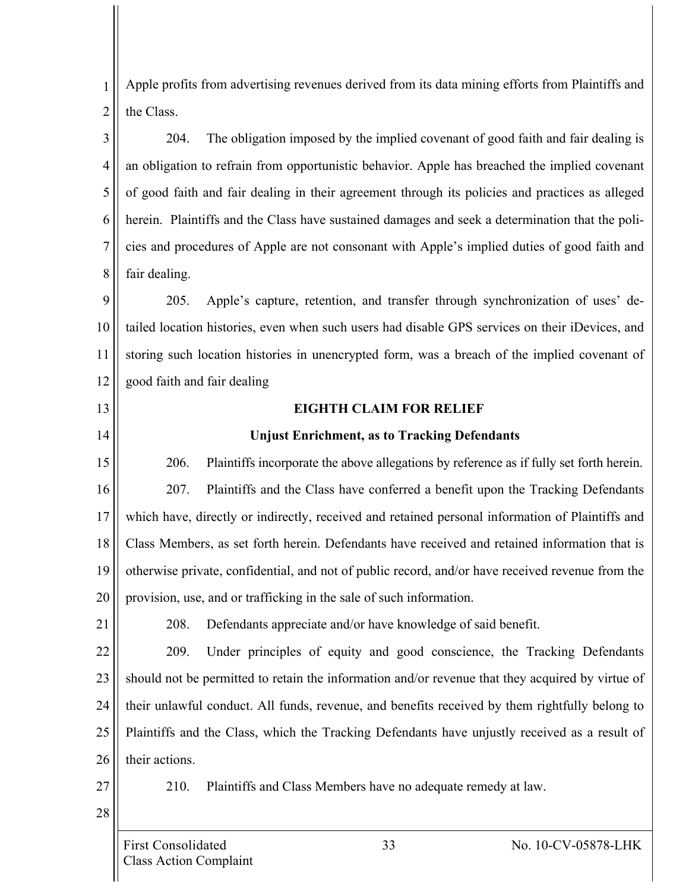1 2 Apple profits from advertising revenues derived from its data mining efforts from Plaintiffs and the Class.

3 4 5 6 7 8 204. The obligation imposed by the implied covenant of good faith and fair dealing is an obligation to refrain from opportunistic behavior. Apple has breached the implied covenant of good faith and fair dealing in their agreement through its policies and practices as alleged herein. Plaintiffs and the Class have sustained damages and seek a determination that the policies and procedures of Apple are not consonant with Apple's implied duties of good faith and fair dealing.

9 10 11 12 205. Apple's capture, retention, and transfer through synchronization of uses' detailed location histories, even when such users had disable GPS services on their iDevices, and storing such location histories in unencrypted form, was a breach of the implied covenant of good faith and fair dealing

# **EIGHTH CLAIM FOR RELIEF**

#### **Unjust Enrichment, as to Tracking Defendants**

15 16 17 18 19 20 206. Plaintiffs incorporate the above allegations by reference as if fully set forth herein. 207. Plaintiffs and the Class have conferred a benefit upon the Tracking Defendants which have, directly or indirectly, received and retained personal information of Plaintiffs and Class Members, as set forth herein. Defendants have received and retained information that is otherwise private, confidential, and not of public record, and/or have received revenue from the provision, use, and or trafficking in the sale of such information.

208. Defendants appreciate and/or have knowledge of said benefit.

22 23 24 25 26 209. Under principles of equity and good conscience, the Tracking Defendants should not be permitted to retain the information and/or revenue that they acquired by virtue of their unlawful conduct. All funds, revenue, and benefits received by them rightfully belong to Plaintiffs and the Class, which the Tracking Defendants have unjustly received as a result of their actions.

27 28

21

13

14

210. Plaintiffs and Class Members have no adequate remedy at law.

Class Action Complaint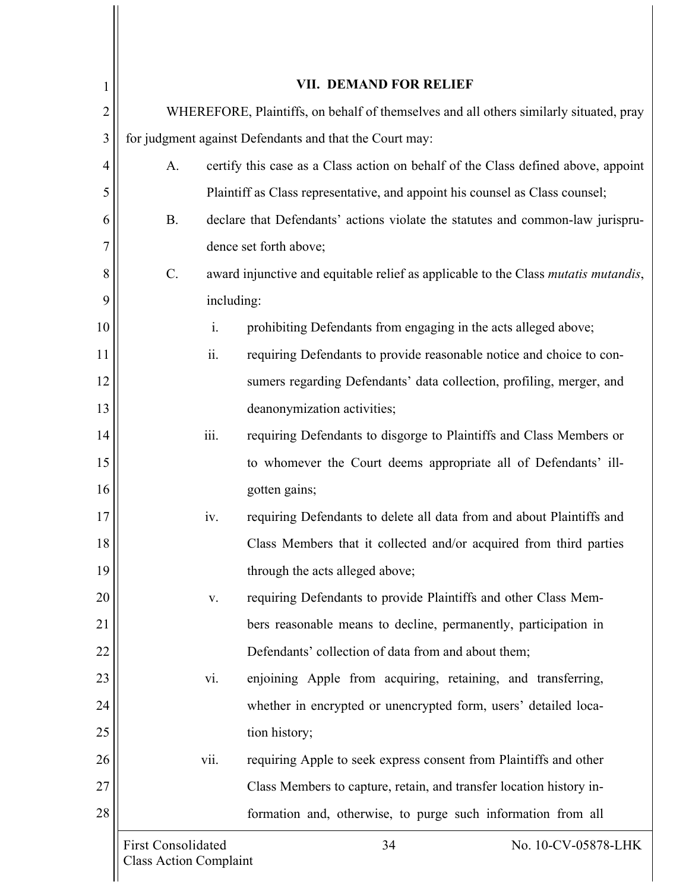| 1  | VII. DEMAND FOR RELIEF                                                                 |                                                                                            |  |  |
|----|----------------------------------------------------------------------------------------|--------------------------------------------------------------------------------------------|--|--|
| 2  | WHEREFORE, Plaintiffs, on behalf of themselves and all others similarly situated, pray |                                                                                            |  |  |
| 3  | for judgment against Defendants and that the Court may:                                |                                                                                            |  |  |
| 4  | A.                                                                                     | certify this case as a Class action on behalf of the Class defined above, appoint          |  |  |
| 5  |                                                                                        | Plaintiff as Class representative, and appoint his counsel as Class counsel;               |  |  |
| 6  | <b>B.</b>                                                                              | declare that Defendants' actions violate the statutes and common-law jurispru-             |  |  |
| 7  |                                                                                        | dence set forth above;                                                                     |  |  |
| 8  | $C$ .                                                                                  | award injunctive and equitable relief as applicable to the Class <i>mutatis mutandis</i> , |  |  |
| 9  |                                                                                        | including:                                                                                 |  |  |
| 10 | i.                                                                                     | prohibiting Defendants from engaging in the acts alleged above;                            |  |  |
| 11 | ii.                                                                                    | requiring Defendants to provide reasonable notice and choice to con-                       |  |  |
| 12 |                                                                                        | sumers regarding Defendants' data collection, profiling, merger, and                       |  |  |
| 13 | deanonymization activities;                                                            |                                                                                            |  |  |
| 14 | iii.<br>requiring Defendants to disgorge to Plaintiffs and Class Members or            |                                                                                            |  |  |
| 15 | to whomever the Court deems appropriate all of Defendants' ill-                        |                                                                                            |  |  |
| 16 |                                                                                        | gotten gains;                                                                              |  |  |
| 17 | iv.                                                                                    | requiring Defendants to delete all data from and about Plaintiffs and                      |  |  |
| 18 | Class Members that it collected and/or acquired from third parties                     |                                                                                            |  |  |
| 19 | through the acts alleged above;                                                        |                                                                                            |  |  |
| 20 | requiring Defendants to provide Plaintiffs and other Class Mem-<br>V.                  |                                                                                            |  |  |
| 21 | bers reasonable means to decline, permanently, participation in                        |                                                                                            |  |  |
| 22 | Defendants' collection of data from and about them;                                    |                                                                                            |  |  |
| 23 | enjoining Apple from acquiring, retaining, and transferring,<br>vi.                    |                                                                                            |  |  |
| 24 | whether in encrypted or unencrypted form, users' detailed loca-                        |                                                                                            |  |  |
| 25 | tion history;                                                                          |                                                                                            |  |  |
| 26 | vii.<br>requiring Apple to seek express consent from Plaintiffs and other              |                                                                                            |  |  |
| 27 | Class Members to capture, retain, and transfer location history in-                    |                                                                                            |  |  |
| 28 |                                                                                        | formation and, otherwise, to purge such information from all                               |  |  |
|    | <b>First Consolidated</b><br><b>Class Action Complaint</b>                             | No. 10-CV-05878-LHK<br>34                                                                  |  |  |
|    |                                                                                        |                                                                                            |  |  |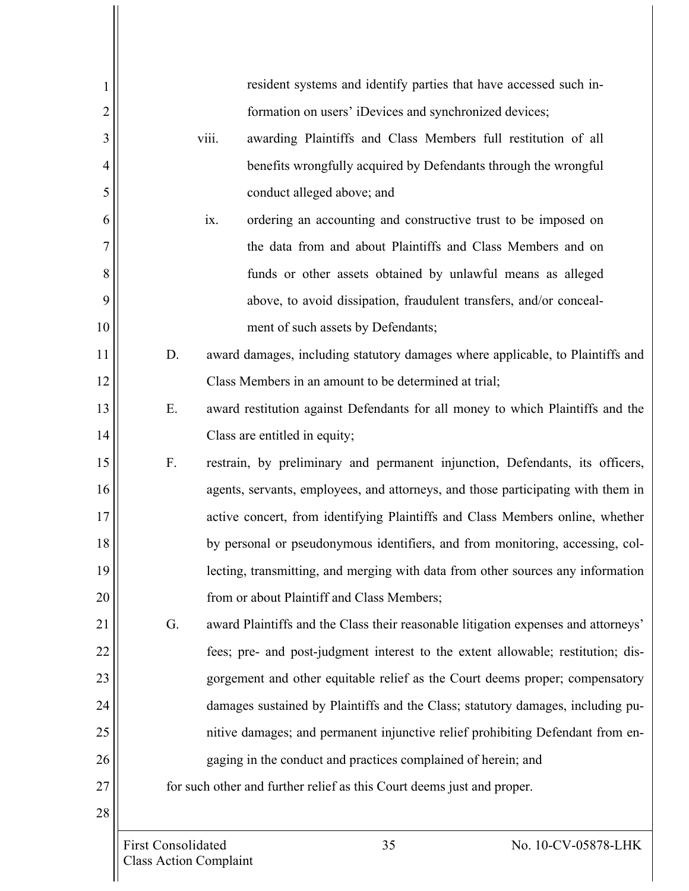| 1              | resident systems and identify parties that have accessed such in-                        |  |  |
|----------------|------------------------------------------------------------------------------------------|--|--|
| $\overline{c}$ | formation on users' iDevices and synchronized devices;                                   |  |  |
| 3              | viii.<br>awarding Plaintiffs and Class Members full restitution of all                   |  |  |
| 4              | benefits wrongfully acquired by Defendants through the wrongful                          |  |  |
| 5              | conduct alleged above; and                                                               |  |  |
| 6              | ix.<br>ordering an accounting and constructive trust to be imposed on                    |  |  |
| 7              | the data from and about Plaintiffs and Class Members and on                              |  |  |
| 8              | funds or other assets obtained by unlawful means as alleged                              |  |  |
| 9              | above, to avoid dissipation, fraudulent transfers, and/or conceal-                       |  |  |
| 10             | ment of such assets by Defendants;                                                       |  |  |
| 11             | award damages, including statutory damages where applicable, to Plaintiffs and<br>D.     |  |  |
| 12             | Class Members in an amount to be determined at trial;                                    |  |  |
| 13             | award restitution against Defendants for all money to which Plaintiffs and the<br>Ε.     |  |  |
| 14             | Class are entitled in equity;                                                            |  |  |
| 15             | restrain, by preliminary and permanent injunction, Defendants, its officers,<br>F.       |  |  |
| 16             | agents, servants, employees, and attorneys, and those participating with them in         |  |  |
| 17             | active concert, from identifying Plaintiffs and Class Members online, whether            |  |  |
| 18             | by personal or pseudonymous identifiers, and from monitoring, accessing, col-            |  |  |
| 19             | lecting, transmitting, and merging with data from other sources any information          |  |  |
| 20             | from or about Plaintiff and Class Members;                                               |  |  |
| 21             | award Plaintiffs and the Class their reasonable litigation expenses and attorneys'<br>G. |  |  |
| 22             | fees; pre- and post-judgment interest to the extent allowable; restitution; dis-         |  |  |
| 23             | gorgement and other equitable relief as the Court deems proper; compensatory             |  |  |
| 24             | damages sustained by Plaintiffs and the Class; statutory damages, including pu-          |  |  |
| 25             | nitive damages; and permanent injunctive relief prohibiting Defendant from en-           |  |  |
| 26             | gaging in the conduct and practices complained of herein; and                            |  |  |
| 27             | for such other and further relief as this Court deems just and proper.                   |  |  |
| 28             |                                                                                          |  |  |
|                | <b>First Consolidated</b><br>35<br>No. 10-CV-05878-LHK                                   |  |  |
|                | <b>Class Action Complaint</b>                                                            |  |  |

 $\mathsf{II}$  $\mathsf{I}$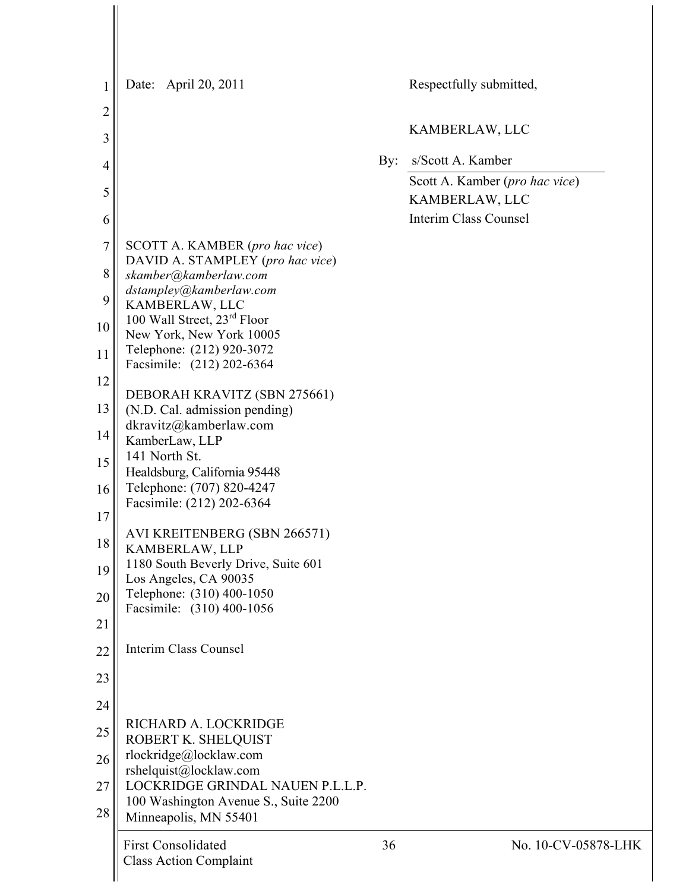| 1              | Date: April 20, 2011                                         |     | Respectfully submitted,                          |
|----------------|--------------------------------------------------------------|-----|--------------------------------------------------|
| $\overline{2}$ |                                                              |     | KAMBERLAW, LLC                                   |
| 3              |                                                              |     |                                                  |
| 4              |                                                              | By: | s/Scott A. Kamber                                |
| 5              |                                                              |     | Scott A. Kamber (pro hac vice)<br>KAMBERLAW, LLC |
| 6              |                                                              |     | <b>Interim Class Counsel</b>                     |
| $\overline{7}$ | SCOTT A. KAMBER (pro hac vice)                               |     |                                                  |
| 8              | DAVID A. STAMPLEY (pro hac vice)<br>skamber@kamberlaw.com    |     |                                                  |
| 9              | dstampley@kamberlaw.com<br>KAMBERLAW, LLC                    |     |                                                  |
| 10             | 100 Wall Street, 23 <sup>rd</sup> Floor                      |     |                                                  |
|                | New York, New York 10005<br>Telephone: (212) 920-3072        |     |                                                  |
| 11             | Facsimile: (212) 202-6364                                    |     |                                                  |
| 12             | DEBORAH KRAVITZ (SBN 275661)                                 |     |                                                  |
| 13             | (N.D. Cal. admission pending)                                |     |                                                  |
| 14             | dkravitz@kamberlaw.com<br>KamberLaw, LLP                     |     |                                                  |
| 15             | 141 North St.                                                |     |                                                  |
| 16             | Healdsburg, California 95448<br>Telephone: (707) 820-4247    |     |                                                  |
|                | Facsimile: (212) 202-6364                                    |     |                                                  |
| 17             | AVI KREITENBERG (SBN 266571)                                 |     |                                                  |
| 18             | KAMBERLAW, LLP                                               |     |                                                  |
| 19             | 1180 South Beverly Drive, Suite 601<br>Los Angeles, CA 90035 |     |                                                  |
| 20             | Telephone: (310) 400-1050                                    |     |                                                  |
| 21             | Facsimile: (310) 400-1056                                    |     |                                                  |
| 22             | Interim Class Counsel                                        |     |                                                  |
| 23             |                                                              |     |                                                  |
| 24             |                                                              |     |                                                  |
| 25             | RICHARD A. LOCKRIDGE<br>ROBERT K. SHELQUIST                  |     |                                                  |
| 26             | rlockridge@locklaw.com                                       |     |                                                  |
| 27             | rshelquist@locklaw.com<br>LOCKRIDGE GRINDAL NAUEN P.L.L.P.   |     |                                                  |
| 28             | 100 Washington Avenue S., Suite 2200                         |     |                                                  |
|                | Minneapolis, MN 55401                                        |     |                                                  |
|                | <b>First Consolidated</b><br><b>Class Action Complaint</b>   | 36  | No. 10-CV-0                                      |
|                |                                                              |     |                                                  |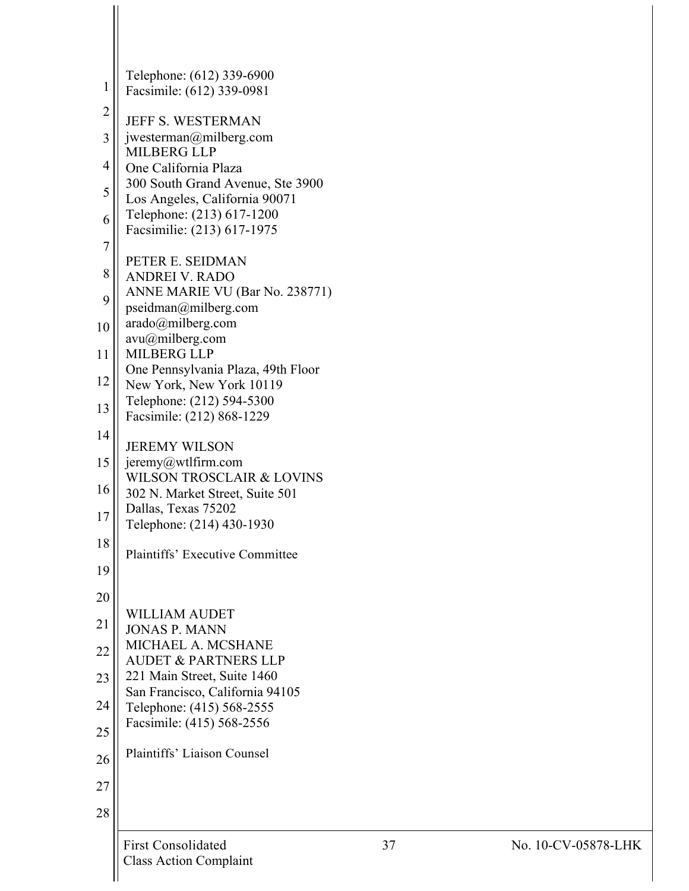|                | <b>First Consolidated</b>                                               | 37 |
|----------------|-------------------------------------------------------------------------|----|
| 28             |                                                                         |    |
| 27             |                                                                         |    |
| 26             |                                                                         |    |
| 25             | Plaintiffs' Liaison Counsel                                             |    |
| 24             | Telephone: (415) 568-2555<br>Facsimile: (415) 568-2556                  |    |
| 23             | San Francisco, California 94105                                         |    |
|                | <b>AUDET &amp; PARTNERS LLP</b><br>221 Main Street, Suite 1460          |    |
| 22             | <b>JONAS P. MANN</b><br>MICHAEL A. MCSHANE                              |    |
| 21             | <b>WILLIAM AUDET</b>                                                    |    |
| 20             |                                                                         |    |
| 19             | <b>Plaintiffs' Executive Committee</b>                                  |    |
| 18             | Telephone: (214) 430-1930                                               |    |
| 17             | Dallas, Texas 75202                                                     |    |
| 16             | <b>WILSON TROSCLAIR &amp; LOVINS</b><br>302 N. Market Street, Suite 501 |    |
| 15             | $j$ eremy@wtlfirm.com                                                   |    |
| 14             | <b>JEREMY WILSON</b>                                                    |    |
| 13             | Telephone: (212) 594-5300<br>Facsimile: (212) 868-1229                  |    |
| 12             | One Pennsylvania Plaza, 49th Floor<br>New York, New York 10119          |    |
| 11             | <b>MILBERG LLP</b>                                                      |    |
| 10             | arado@milberg.com<br>$avu(a)$ milberg.com                               |    |
| 9              | pseidman@milberg.com                                                    |    |
| 8              | <b>ANDREI V. RADO</b><br>ANNE MARIE VU (Bar No. 238771)                 |    |
| 7              | PETER E. SEIDMAN                                                        |    |
| 6              | Facsimilie: (213) 617-1975                                              |    |
|                | Los Angeles, California 90071<br>Telephone: (213) 617-1200              |    |
| 5              | One California Plaza<br>300 South Grand Avenue, Ste 3900                |    |
| 4              | <b>MILBERG LLP</b>                                                      |    |
| 3              | <b>JEFF S. WESTERMAN</b><br>jwesterman@milberg.com                      |    |
| $\overline{c}$ | Facsimile: (612) 339-0981                                               |    |
| 1              | Telephone: (612) 339-6900                                               |    |
|                |                                                                         |    |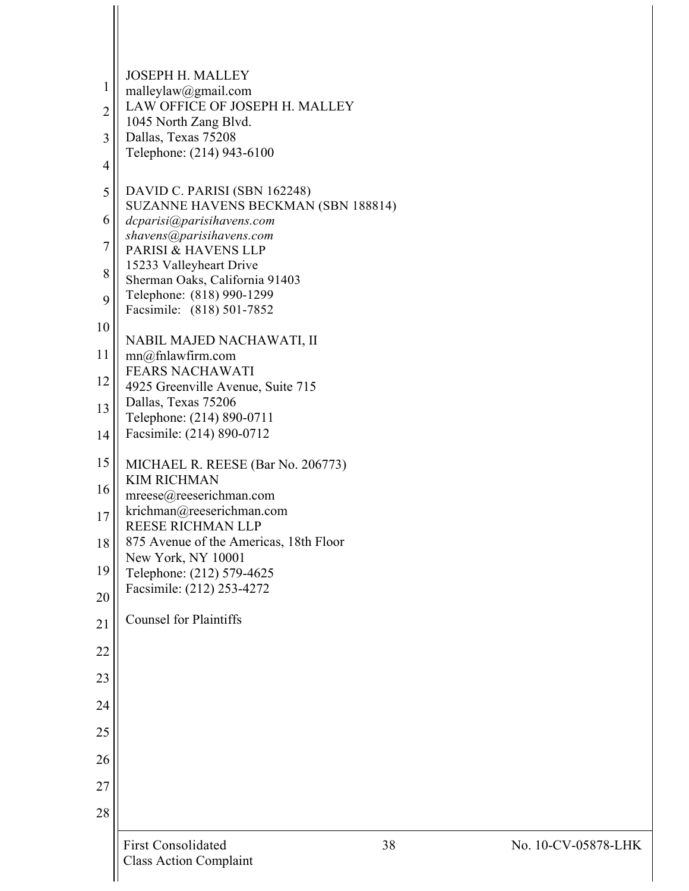|                | <b>First Consolidated</b><br><b>Class Action Complaint</b>         | 38 | No. 1 |
|----------------|--------------------------------------------------------------------|----|-------|
| 28             |                                                                    |    |       |
| 27             |                                                                    |    |       |
| 26             |                                                                    |    |       |
| 25             |                                                                    |    |       |
| 24             |                                                                    |    |       |
| 23             |                                                                    |    |       |
|                |                                                                    |    |       |
| 22             |                                                                    |    |       |
| 21             | <b>Counsel for Plaintiffs</b>                                      |    |       |
| 20             | Facsimile: (212) 253-4272                                          |    |       |
| 19             | New York, NY 10001<br>Telephone: (212) 579-4625                    |    |       |
| 18             | <b>REESE RICHMAN LLP</b><br>875 Avenue of the Americas, 18th Floor |    |       |
| 17             | mreese@reeserichman.com<br>krichman@reeserichman.com               |    |       |
| 16             | <b>KIM RICHMAN</b>                                                 |    |       |
| 15             | MICHAEL R. REESE (Bar No. 206773)                                  |    |       |
| 14             | Telephone: (214) 890-0711<br>Facsimile: (214) 890-0712             |    |       |
| 13             | 4925 Greenville Avenue, Suite 715<br>Dallas, Texas 75206           |    |       |
| 12             | <b>FEARS NACHAWATI</b>                                             |    |       |
| 11             | NABIL MAJED NACHAWATI, II<br>mn@fnlawfirm.com                      |    |       |
| 10             | Facsimile: (818) 501-7852                                          |    |       |
| 9              | Telephone: (818) 990-1299                                          |    |       |
| 8              | 15233 Valleyheart Drive<br>Sherman Oaks, California 91403          |    |       |
| $\overline{7}$ | shavens@parisihavens.com<br>PARISI & HAVENS LLP                    |    |       |
| 6              | SUZANNE HAVENS BECKMAN (SBN 188814)<br>dcparisi@parisihavens.com   |    |       |
| 5              | DAVID C. PARISI (SBN 162248)                                       |    |       |
| $\overline{4}$ | Telephone: (214) 943-6100                                          |    |       |
| $\overline{3}$ | 1045 North Zang Blvd.<br>Dallas, Texas 75208                       |    |       |
| $\overline{2}$ | LAW OFFICE OF JOSEPH H. MALLEY                                     |    |       |
| 1              | <b>JOSEPH H. MALLEY</b><br>malleylaw@gmail.com                     |    |       |
|                |                                                                    |    |       |

 $\frac{1}{2}$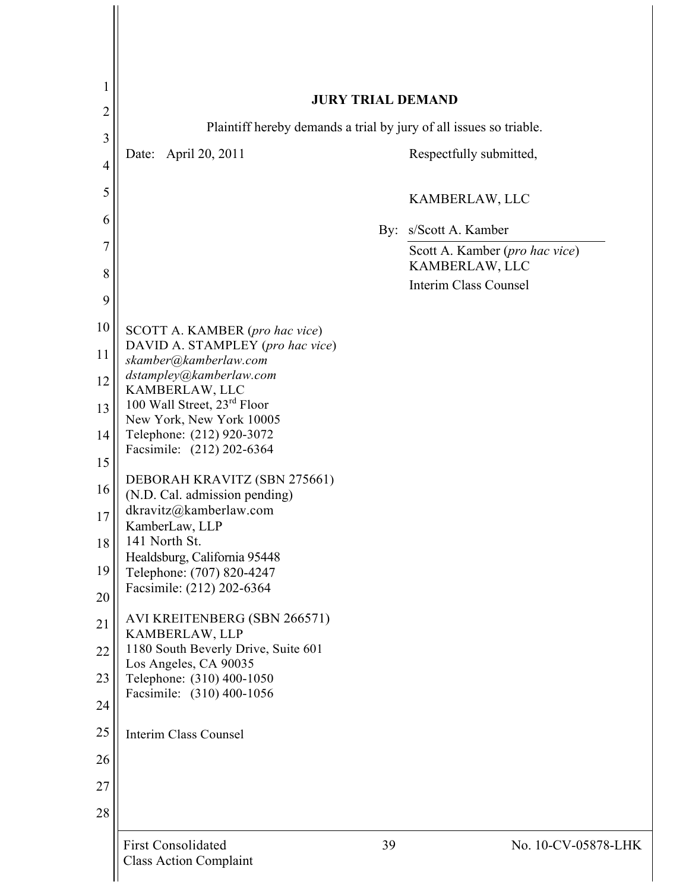| 1                                | <b>JURY TRIAL DEMAND</b>                                           |                                                            |  |  |  |
|----------------------------------|--------------------------------------------------------------------|------------------------------------------------------------|--|--|--|
| $\overline{2}$                   | Plaintiff hereby demands a trial by jury of all issues so triable. |                                                            |  |  |  |
| $\overline{3}$<br>$\overline{4}$ | April 20, 2011<br>Date:                                            | Respectfully submitted,                                    |  |  |  |
| 5                                |                                                                    | KAMBERLAW, LLC                                             |  |  |  |
| 6                                |                                                                    |                                                            |  |  |  |
| $\overline{7}$                   |                                                                    | s/Scott A. Kamber<br>By:<br>Scott A. Kamber (pro hac vice) |  |  |  |
| 8                                |                                                                    | KAMBERLAW, LLC<br><b>Interim Class Counsel</b>             |  |  |  |
| 9                                |                                                                    |                                                            |  |  |  |
| 10                               | SCOTT A. KAMBER (pro hac vice)<br>DAVID A. STAMPLEY (pro hac vice) |                                                            |  |  |  |
| 11                               | skamber@kamberlaw.com<br>dstampley@kamberlaw.com                   |                                                            |  |  |  |
| 12                               | KAMBERLAW, LLC                                                     |                                                            |  |  |  |
| 13                               | 100 Wall Street, 23rd Floor<br>New York, New York 10005            |                                                            |  |  |  |
| 14                               | Telephone: (212) 920-3072<br>Facsimile: (212) 202-6364             |                                                            |  |  |  |
| 15                               | DEBORAH KRAVITZ (SBN 275661)                                       |                                                            |  |  |  |
| 16                               | (N.D. Cal. admission pending)                                      |                                                            |  |  |  |
| 17                               | dkravitz@kamberlaw.com<br>KamberLaw, LLP                           |                                                            |  |  |  |
| 18                               | 141 North St.<br>Healdsburg, California 95448                      |                                                            |  |  |  |
| 19                               | Telephone: (707) 820-4247                                          |                                                            |  |  |  |
| 20                               | Facsimile: (212) 202-6364                                          |                                                            |  |  |  |
| 21                               | AVI KREITENBERG (SBN 266571)<br>KAMBERLAW, LLP                     |                                                            |  |  |  |
| 22                               | 1180 South Beverly Drive, Suite 601<br>Los Angeles, CA 90035       |                                                            |  |  |  |
| 23                               | Telephone: (310) 400-1050                                          |                                                            |  |  |  |
| 24                               | Facsimile: (310) 400-1056                                          |                                                            |  |  |  |
| 25                               | Interim Class Counsel                                              |                                                            |  |  |  |
| 26                               |                                                                    |                                                            |  |  |  |
| 27                               |                                                                    |                                                            |  |  |  |
| 28                               |                                                                    |                                                            |  |  |  |
|                                  | <b>First Consolidated</b><br><b>Class Action Complaint</b>         | 39<br>No. 10-CV-05878-LHK                                  |  |  |  |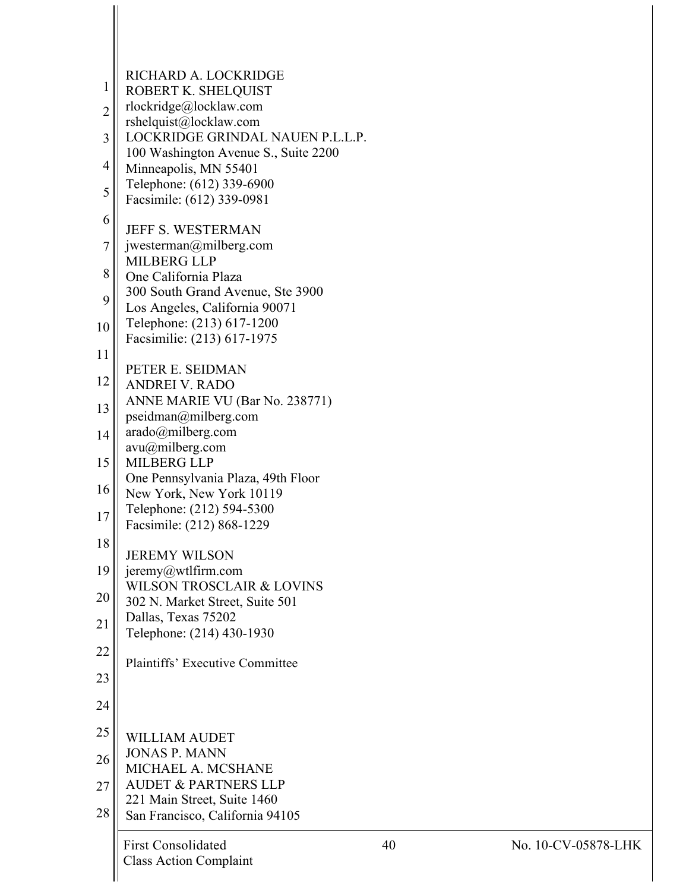| 1              | RICHARD A. LOCKRIDGE                                                     |    |
|----------------|--------------------------------------------------------------------------|----|
| $\overline{c}$ | ROBERT K. SHELQUIST<br>rlockridge@locklaw.com                            |    |
|                | rshelquist@locklaw.com                                                   |    |
| 3              | LOCKRIDGE GRINDAL NAUEN P.L.L.P.<br>100 Washington Avenue S., Suite 2200 |    |
| 4              | Minneapolis, MN 55401                                                    |    |
| 5              | Telephone: (612) 339-6900<br>Facsimile: (612) 339-0981                   |    |
| 6              |                                                                          |    |
| 7              | <b>JEFF S. WESTERMAN</b><br>jwesterman@milberg.com                       |    |
| 8              | <b>MILBERG LLP</b><br>One California Plaza                               |    |
| 9              | 300 South Grand Avenue, Ste 3900                                         |    |
|                | Los Angeles, California 90071<br>Telephone: (213) 617-1200               |    |
| 10             | Facsimilie: (213) 617-1975                                               |    |
| 11             | PETER E. SEIDMAN                                                         |    |
| 12             | <b>ANDREI V. RADO</b>                                                    |    |
| 13             | ANNE MARIE VU (Bar No. 238771)<br>pseidman@milberg.com                   |    |
| 14             | arado@milberg.com                                                        |    |
| 15             | $avu(a)$ milberg.com<br><b>MILBERG LLP</b>                               |    |
|                | One Pennsylvania Plaza, 49th Floor                                       |    |
| 16             | New York, New York 10119<br>Telephone: (212) 594-5300                    |    |
| 17             | Facsimile: (212) 868-1229                                                |    |
| 18             | <b>JEREMY WILSON</b>                                                     |    |
| 19             | jeremy@wtlfirm.com                                                       |    |
| 20             | <b>WILSON TROSCLAIR &amp; LOVINS</b><br>302 N. Market Street, Suite 501  |    |
| 21             | Dallas, Texas 75202                                                      |    |
|                | Telephone: (214) 430-1930                                                |    |
| 22             | <b>Plaintiffs' Executive Committee</b>                                   |    |
| 23             |                                                                          |    |
| 24             |                                                                          |    |
| 25             | <b>WILLIAM AUDET</b>                                                     |    |
| 26             | <b>JONAS P. MANN</b><br>MICHAEL A. MCSHANE                               |    |
| 27             | <b>AUDET &amp; PARTNERS LLP</b>                                          |    |
| 28             | 221 Main Street, Suite 1460<br>San Francisco, California 94105           |    |
|                |                                                                          |    |
|                | <b>First Consolidated</b><br><b>Class Action Complaint</b>               | 40 |

 $\mathbf{\mathcal{H}}$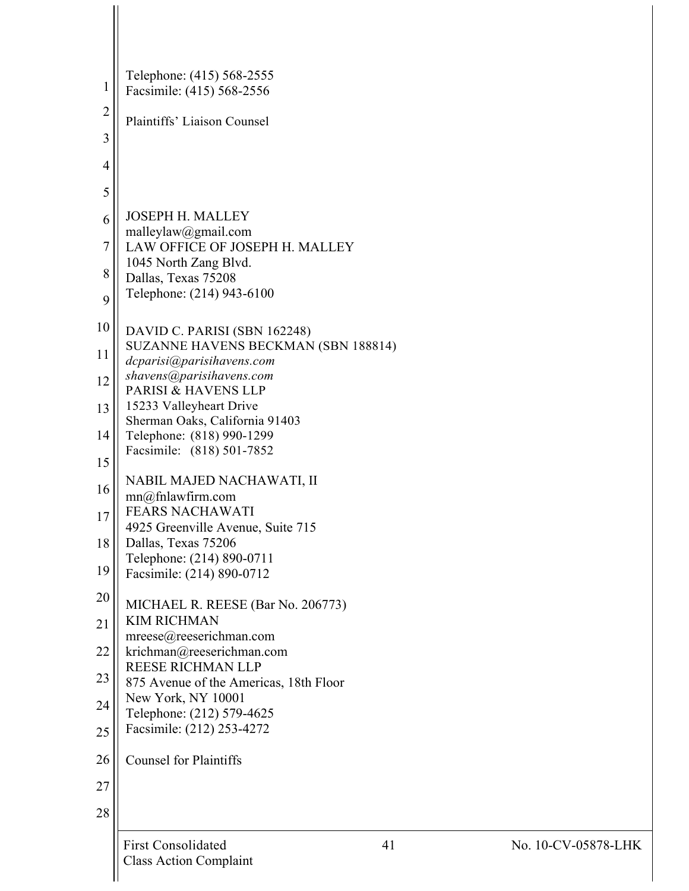| 1              | Telephone: (415) 568-2555<br>Facsimile: (415) 568-2556              |
|----------------|---------------------------------------------------------------------|
| $\overline{c}$ | Plaintiffs' Liaison Counsel                                         |
| $\overline{3}$ |                                                                     |
| $\overline{4}$ |                                                                     |
| 5              |                                                                     |
| 6              | <b>JOSEPH H. MALLEY</b>                                             |
| $\overline{7}$ | malleylaw@gmail.com<br>LAW OFFICE OF JOSEPH H. MALLEY               |
| 8              | 1045 North Zang Blvd.                                               |
| 9              | Dallas, Texas 75208<br>Telephone: (214) 943-6100                    |
|                |                                                                     |
| 10             | DAVID C. PARISI (SBN 162248)<br>SUZANNE HAVENS BECKMAN (SBN 188814) |
| 11             | dcparisi@parisihavens.com                                           |
| 12             | shavens@parisihavens.com<br>PARISI & HAVENS LLP                     |
| 13             | 15233 Valleyheart Drive                                             |
| 14             | Sherman Oaks, California 91403<br>Telephone: (818) 990-1299         |
| 15             | Facsimile: (818) 501-7852                                           |
| 16             | NABIL MAJED NACHAWATI, II                                           |
| 17             | mn@fnlawfirm.com<br><b>FEARS NACHAWATI</b>                          |
|                | 4925 Greenville Avenue, Suite 715                                   |
| 18             | Dallas, Texas 75206<br>Telephone: (214) 890-0711                    |
| 19             | Facsimile: (214) 890-0712                                           |
| 20             | MICHAEL R. REESE (Bar No. 206773)                                   |
| 21             | <b>KIM RICHMAN</b><br>mreese@reeserichman.com                       |
| 22             | krichman@reeserichman.com                                           |
| 23             | <b>REESE RICHMAN LLP</b><br>875 Avenue of the Americas, 18th Floor  |
| 24             | New York, NY 10001                                                  |
| 25             | Telephone: (212) 579-4625<br>Facsimile: (212) 253-4272              |
|                |                                                                     |
| 26             | <b>Counsel for Plaintiffs</b>                                       |
| 27             |                                                                     |
| 28             |                                                                     |
|                | <b>First Consolidated</b><br>41<br><b>Class Action Complaint</b>    |